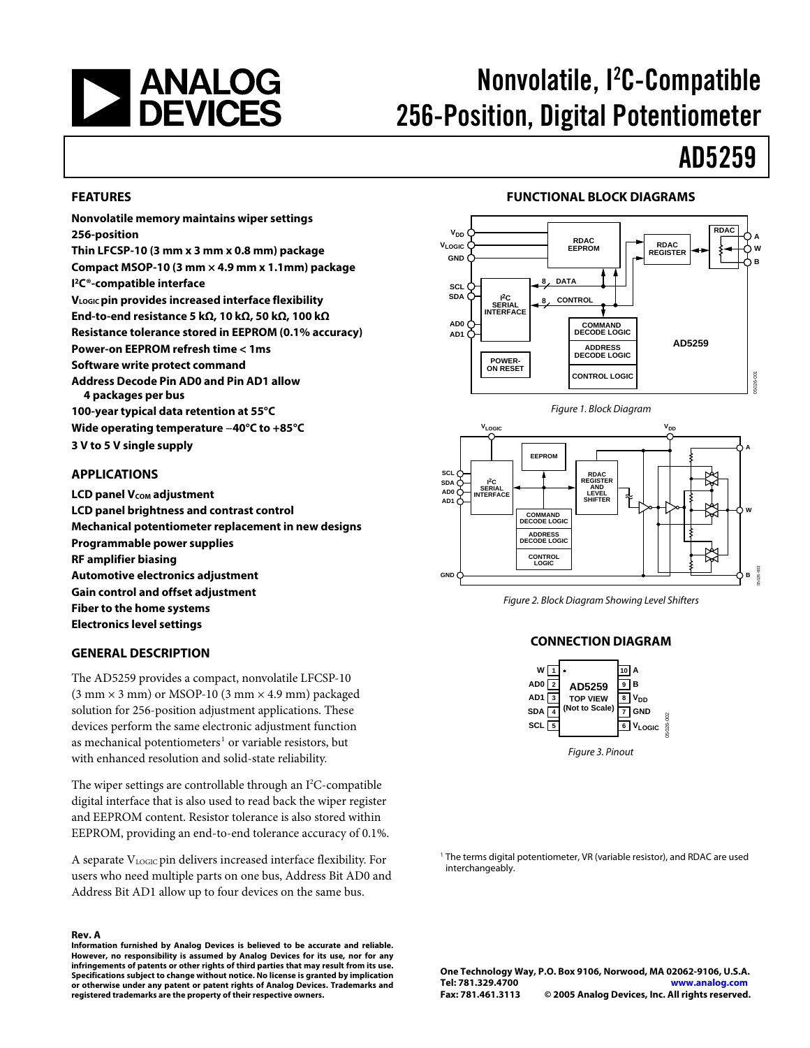

# Nonvolatile, l<sup>2</sup>C-Compatible 256-Position, Digital Potentiometer

# AD5259

#### **FEATURES**

**Nonvolatile memory maintains wiper settings 256-position** 

**Thin LFCSP-10 (3 mm x 3 mm x 0.8 mm) package Compact MSOP-10 (3 mm × 4.9 mm x 1.1mm) package I 2C®-compatible interface VLOGIC pin provides increased interface flexibility End-to-end resistance 5 kΩ, 10 kΩ, 50 kΩ, 100 kΩ Resistance tolerance stored in EEPROM (0.1% accuracy) Power-on EEPROM refresh time < 1ms Software write protect command Address Decode Pin AD0 and Pin AD1 allow 4 packages per bus 100-year typical data retention at 55°C** 

**Wide operating temperature −40°C to +85°C 3 V to 5 V single supply** 

#### **APPLICATIONS**

**LCD panel Vcom adjustment LCD panel brightness and contrast control Mechanical potentiometer replacement in new designs Programmable power supplies RF amplifier biasing Automotive electronics adjustment Gain control and offset adjustment Fiber to the home systems Electronics level settings** 

### **GENERAL DESCRIPTION**

The AD5259 provides a compact, nonvolatile LFCSP-10  $(3 \text{ mm} \times 3 \text{ mm})$  or MSOP-10  $(3 \text{ mm} \times 4.9 \text{ mm})$  packaged solution for 256-position adjustment applications. These devices perform the same electronic adjustment function as mechanical potentiometers<sup>1</sup> or variable resistors, but with enhanced resolution and solid-state reliability.

The wiper settings are controllable through an  $I^2C$ -compatible digital interface that is also used to read back the wiper register and EEPROM content. Resistor tolerance is also stored within EEPROM, providing an end-to-end tolerance accuracy of 0.1%.

A separate V<sub>LOGIC</sub> pin delivers increased interface flexibility. For users who need multiple parts on one bus, Address Bit AD0 and Address Bit AD1 allow up to four devices on the same bus.

#### **Rev. A**

**Information furnished by Analog Devices is believed to be accurate and reliable. However, no responsibility is assumed by Analog Devices for its use, nor for any infringements of patents or other rights of third parties that may result from its use. Specifications subject to change without notice. No license is granted by implication or otherwise under any patent or patent rights of Analog Devices. Trademarks and registered trademarks are the property of their respective owners.**

#### **FUNCTIONAL BLOCK DIAGRAMS**







Figure 2. Block Diagram Showing Level Shifters

#### **CONNECTION DIAGRAM**



<sup>1</sup> The terms digital potentiometer, VR (variable resistor), and RDAC are used interchangeably.

**One Technology Way, P.O. Box 9106, Norwood, MA 02062-9106, U.S.A. Tel: 781.329.4700 www.analog.com Fax: 781.461.3113 © 2005 Analog Devices, Inc. All rights reserved.**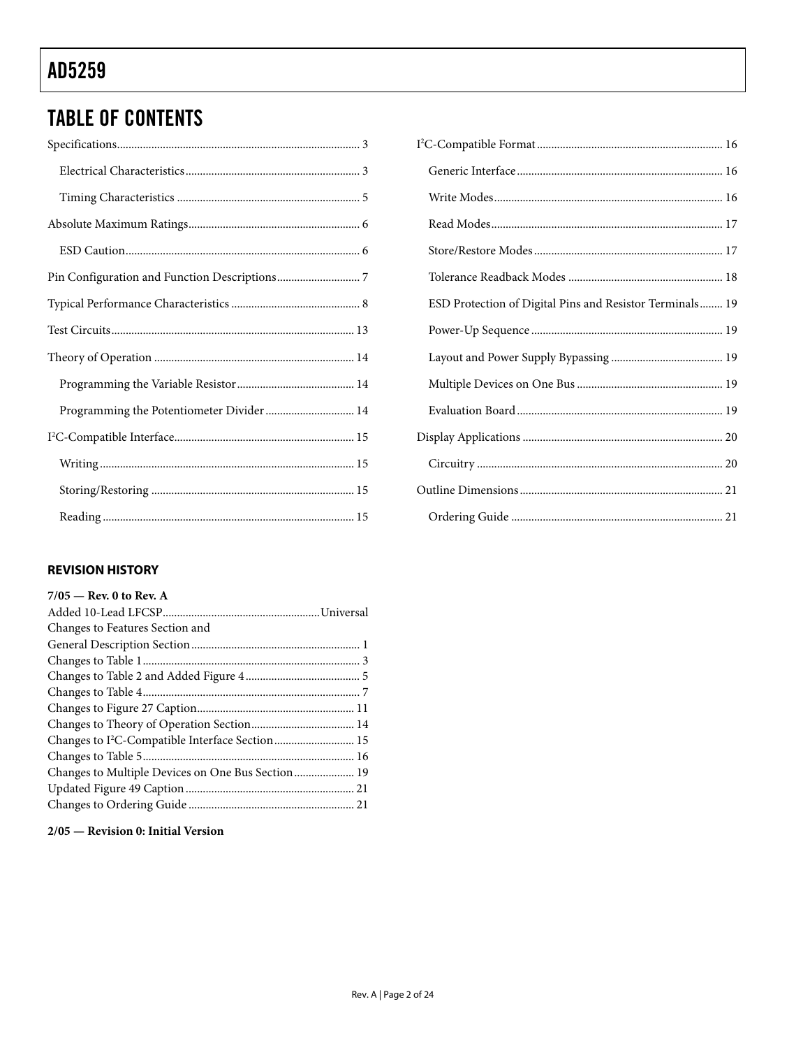# **TABLE OF CONTENTS**

| Programming the Potentiometer Divider  14 |
|-------------------------------------------|
|                                           |
|                                           |
|                                           |
|                                           |

## **REVISION HISTORY**

| $7/05$ – Rev. 0 to Rev. A                                   |  |
|-------------------------------------------------------------|--|
|                                                             |  |
| Changes to Features Section and                             |  |
|                                                             |  |
|                                                             |  |
|                                                             |  |
|                                                             |  |
|                                                             |  |
|                                                             |  |
| Changes to I <sup>2</sup> C-Compatible Interface Section 15 |  |
|                                                             |  |
| Changes to Multiple Devices on One Bus Section 19           |  |
|                                                             |  |
|                                                             |  |
|                                                             |  |

2/05 - Revision 0: Initial Version

| $\cdot$ 3 |                                                          |
|-----------|----------------------------------------------------------|
| $\cdot$ 3 |                                                          |
| . 5       |                                                          |
| . 6       |                                                          |
| . 6       |                                                          |
| . 7       |                                                          |
| . 8       | ESD Protection of Digital Pins and Resistor Terminals 19 |
| 13        |                                                          |
| 14        |                                                          |
| 14        |                                                          |
| 14        |                                                          |
| 15        |                                                          |
| 15        |                                                          |
| 15        |                                                          |
| 15        |                                                          |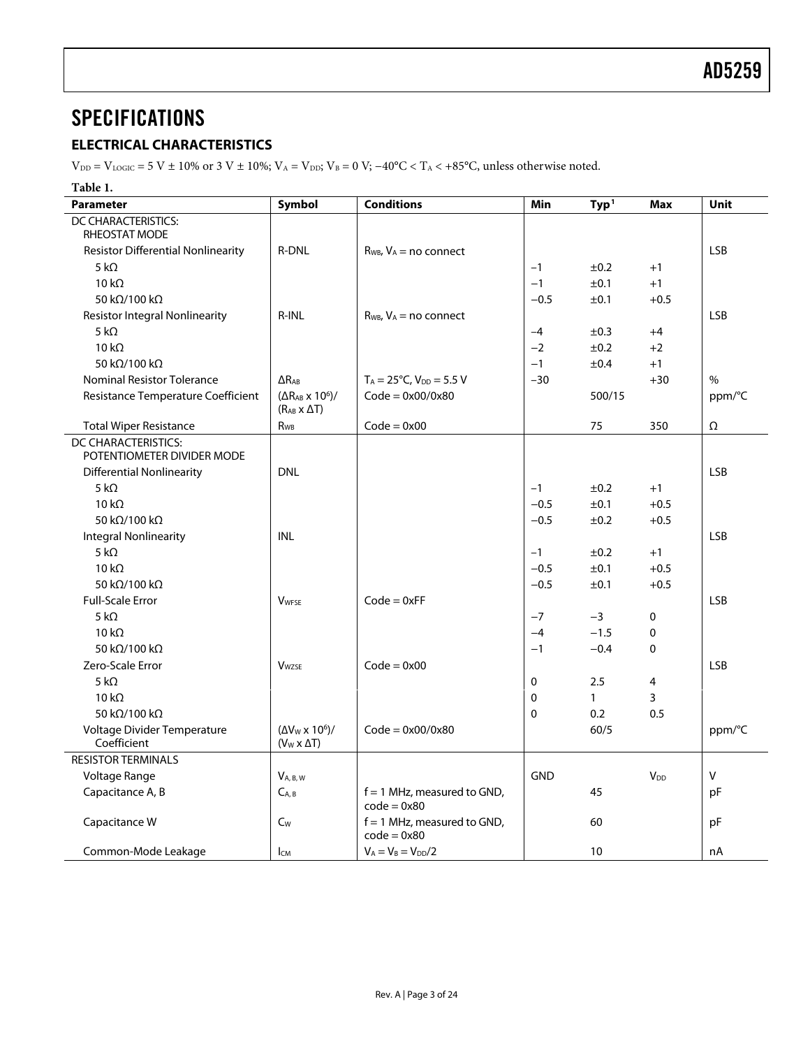## <span id="page-2-1"></span><span id="page-2-0"></span>**SPECIFICATIONS**

## **ELECTRICAL CHARACTERISTICS**

 $V_{\text{DD}} = V_{\text{LOGIC}} = 5$  V ± 10% or 3 V ± 10%;  $V_{\text{A}} = V_{\text{DD}}$ ;  $V_{\text{B}} = 0$  V;  $-40^{\circ}\text{C} < T_{\text{A}} < +85^{\circ}\text{C}$ , unless otherwise noted.

**Table 1.** 

| <b>Parameter</b>                           | Symbol                                                        | <b>Conditions</b>                              | Min          | Typ <sup>1</sup> | <b>Max</b>  | <b>Unit</b> |  |  |
|--------------------------------------------|---------------------------------------------------------------|------------------------------------------------|--------------|------------------|-------------|-------------|--|--|
| DC CHARACTERISTICS:                        |                                                               |                                                |              |                  |             |             |  |  |
| RHEOSTAT MODE                              |                                                               |                                                |              |                  |             |             |  |  |
| <b>Resistor Differential Nonlinearity</b>  | <b>R-DNL</b>                                                  | $R_{WB}$ , $V_A$ = no connect                  |              |                  |             | <b>LSB</b>  |  |  |
| 5 k $\Omega$                               |                                                               |                                                | $-1$         | ±0.2             | $+1$        |             |  |  |
| $10 k\Omega$                               |                                                               |                                                | $-1$         | ±0.1             | $+1$        |             |  |  |
| 50 k $\Omega$ /100 k $\Omega$              |                                                               |                                                | $-0.5$       | ±0.1             | $+0.5$      |             |  |  |
| <b>Resistor Integral Nonlinearity</b>      | R-INL                                                         | $R_{WB}$ , $V_A$ = no connect                  |              |                  |             | <b>LSB</b>  |  |  |
| 5 k $\Omega$                               |                                                               |                                                | $-4$         | ±0.3             | $+4$        |             |  |  |
| $10 k\Omega$                               |                                                               |                                                | $-2$         | ±0.2             | $+2$        |             |  |  |
| 50 kΩ/100 kΩ                               |                                                               |                                                | $-1$         | ±0.4             | $+1$        |             |  |  |
| Nominal Resistor Tolerance                 | $\Delta R_{AB}$                                               | $T_A = 25^{\circ}C$ , $V_{DD} = 5.5 V$         | $-30$        |                  | $+30$       | $\%$        |  |  |
| Resistance Temperature Coefficient         | $(\Delta R_{AB} \times 10^6)$ /<br>$(R_{AB} \times \Delta T)$ | $Code = 0x00/0x80$                             |              | 500/15           |             | ppm/°C      |  |  |
| <b>Total Wiper Resistance</b>              | R <sub>WB</sub>                                               | $Code = 0x00$                                  |              | 75               | 350         | Ω           |  |  |
| DC CHARACTERISTICS:                        |                                                               |                                                |              |                  |             |             |  |  |
| POTENTIOMETER DIVIDER MODE                 |                                                               |                                                |              |                  |             |             |  |  |
| Differential Nonlinearity                  | <b>DNL</b>                                                    |                                                |              |                  |             | <b>LSB</b>  |  |  |
| 5 k $\Omega$                               |                                                               |                                                | $-1$         | ±0.2             | $+1$        |             |  |  |
| $10 k\Omega$                               |                                                               |                                                | $-0.5$       | ±0.1             | $+0.5$      |             |  |  |
| 50 kΩ/100 kΩ                               |                                                               |                                                | $-0.5$       | ±0.2             | $+0.5$      |             |  |  |
| <b>Integral Nonlinearity</b>               | <b>INL</b>                                                    |                                                |              |                  |             | <b>LSB</b>  |  |  |
| 5 k $\Omega$                               |                                                               |                                                | $-1$         | ±0.2             | $+1$        |             |  |  |
| $10 k\Omega$                               |                                                               |                                                | $-0.5$       | ±0.1             | $+0.5$      |             |  |  |
| 50 k $\Omega$ /100 k $\Omega$              |                                                               |                                                | $-0.5$       | ±0.1             | $+0.5$      |             |  |  |
| <b>Full-Scale Error</b>                    | <b>V</b> <sub>WFSE</sub>                                      | $Code = 0xFF$                                  |              |                  |             | <b>LSB</b>  |  |  |
| 5 k $\Omega$                               |                                                               |                                                | $-7$         | $-3$             | $\mathbf 0$ |             |  |  |
| 10 $k\Omega$                               |                                                               |                                                | $-4$         | $-1.5$           | 0           |             |  |  |
| 50 kΩ/100 kΩ                               |                                                               |                                                | $-1$         | $-0.4$           | 0           |             |  |  |
| Zero-Scale Error                           | <b>V</b> wzse                                                 | $Code = 0x00$                                  |              |                  |             | <b>LSB</b>  |  |  |
| 5 k $\Omega$                               |                                                               |                                                | $\mathbf{0}$ | 2.5              | 4           |             |  |  |
| $10 k\Omega$                               |                                                               |                                                | $\mathbf 0$  | $\mathbf{1}$     | 3           |             |  |  |
| 50 kΩ/100 kΩ                               |                                                               |                                                | $\Omega$     | 0.2              | 0.5         |             |  |  |
| Voltage Divider Temperature<br>Coefficient | $(\Delta V_W \times 10^6)$ /<br>$(V_W \times \Delta T)$       | $Code = 0x00/0x80$                             |              | 60/5             |             | ppm/°C      |  |  |
| <b>RESISTOR TERMINALS</b>                  |                                                               |                                                |              |                  |             |             |  |  |
| Voltage Range                              | $V_{A, B, W}$                                                 |                                                | <b>GND</b>   |                  | $V_{DD}$    | $\sf V$     |  |  |
|                                            |                                                               |                                                |              |                  |             |             |  |  |
| Capacitance A, B                           | $C_{A,B}$                                                     | $f = 1$ MHz, measured to GND,<br>$code = 0x80$ |              | 45               |             | pF          |  |  |
| Capacitance W                              | $C_W$                                                         | $f = 1$ MHz, measured to GND,<br>$code = 0x80$ |              | 60               |             | pF          |  |  |
| Common-Mode Leakage                        | <b>I</b> CM                                                   | $V_A = V_B = V_{DD}/2$                         |              | 10               |             | nA          |  |  |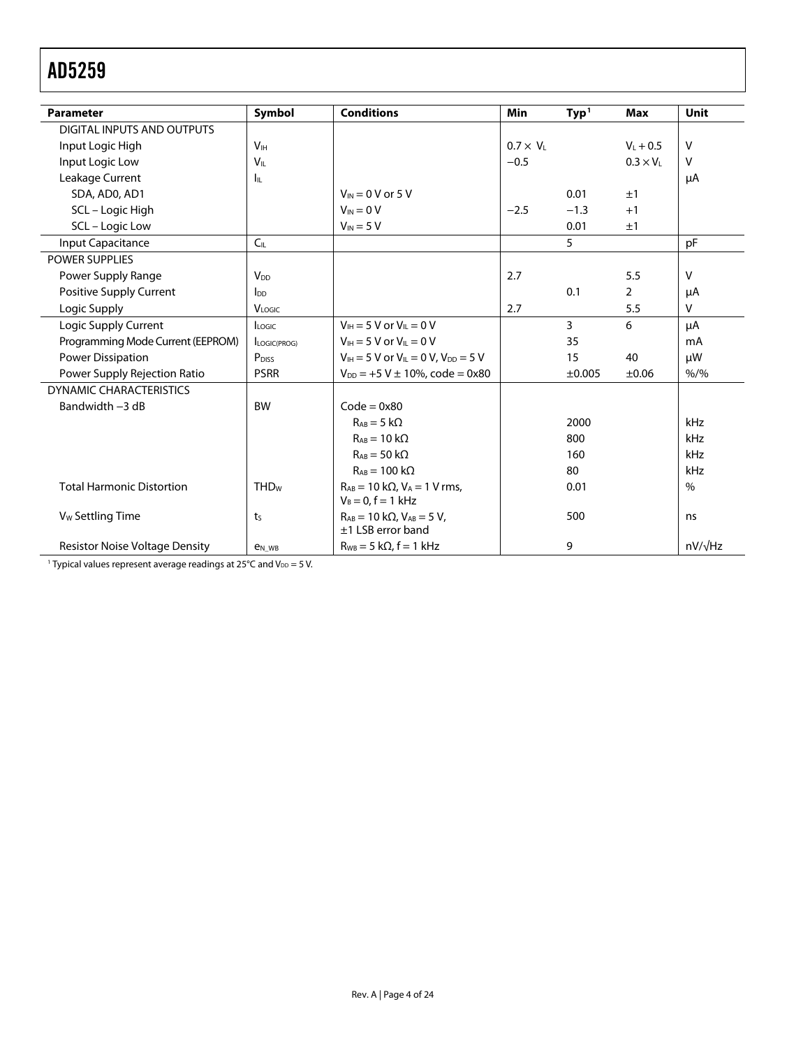<span id="page-3-0"></span>

| <b>Parameter</b>                      | Symbol                   | <b>Conditions</b>                                                   | <b>Min</b>       | Typ <sup>1</sup> | <b>Max</b>       | Unit           |
|---------------------------------------|--------------------------|---------------------------------------------------------------------|------------------|------------------|------------------|----------------|
| DIGITAL INPUTS AND OUTPUTS            |                          |                                                                     |                  |                  |                  |                |
| Input Logic High                      | <b>V<sub>IH</sub></b>    |                                                                     | $0.7 \times V_L$ |                  | $V_L + 0.5$      | $\vee$         |
| Input Logic Low                       | V <sub>IL</sub>          |                                                                     | $-0.5$           |                  | $0.3 \times V_L$ | v              |
| Leakage Current                       | Iц.                      |                                                                     |                  |                  |                  | μA             |
| SDA, AD0, AD1                         |                          | $V_{IN}$ = 0 V or 5 V                                               |                  | 0.01             | ±1               |                |
| SCL - Logic High                      |                          | $V_{IN} = 0 V$                                                      | $-2.5$           | $-1.3$           | $+1$             |                |
| SCL - Logic Low                       |                          | $V_{IN} = 5 V$                                                      |                  | 0.01             | ±1               |                |
| Input Capacitance                     | $C_{IL}$                 |                                                                     |                  | 5                |                  | pF             |
| <b>POWER SUPPLIES</b>                 |                          |                                                                     |                  |                  |                  |                |
| Power Supply Range                    | <b>V<sub>DD</sub></b>    |                                                                     | 2.7              |                  | 5.5              | v              |
| Positive Supply Current               | <b>l</b> <sub>DD</sub>   |                                                                     |                  | 0.1              | $\overline{2}$   | μA             |
| Logic Supply                          | VLOGIC                   |                                                                     | 2.7              |                  | 5.5              | V              |
| Logic Supply Current                  | Logic                    | $V_{\text{H}} = 5$ V or $V_{\text{H}} = 0$ V                        |                  | $\overline{3}$   | 6                | μA             |
| Programming Mode Current (EEPROM)     | LOGIC(PROG)              | $V_{\text{H}} = 5$ V or $V_{\text{IL}} = 0$ V                       |                  | 35               |                  | mA             |
| <b>Power Dissipation</b>              | P <sub>DISS</sub>        | $V_{\text{H}} = 5$ V or $V_{\text{H}} = 0$ V, $V_{\text{DD}} = 5$ V |                  | 15               | 40               | μW             |
| Power Supply Rejection Ratio          | <b>PSRR</b>              | $V_{DD} = +5 V \pm 10\%$ , code = 0x80                              |                  | $\pm 0.005$      | $\pm 0.06$       | $% /$ %        |
| <b>DYNAMIC CHARACTERISTICS</b>        |                          |                                                                     |                  |                  |                  |                |
| Bandwidth -3 dB                       | <b>BW</b>                | $Code = 0x80$                                                       |                  |                  |                  |                |
|                                       |                          | $Ra_B = 5 k\Omega$                                                  |                  | 2000             |                  | kHz            |
|                                       |                          | $R_{AB} = 10 k\Omega$                                               |                  | 800              |                  | kHz            |
|                                       |                          | $R_{AB} = 50 k\Omega$                                               |                  | 160              |                  | kHz            |
|                                       |                          | $R_{AB} = 100 k\Omega$                                              |                  | 80               |                  | kHz            |
| <b>Total Harmonic Distortion</b>      | <b>THD<sub>w</sub></b>   | $R_{AB} = 10 k\Omega$ , $V_A = 1 V$ rms,<br>$V_B = 0, f = 1$ kHz    |                  | 0.01             |                  | $\%$           |
| V <sub>w</sub> Settling Time          | ts                       | $R_{AB} = 10 k\Omega$ , $V_{AB} = 5 V$ ,<br>$±1$ LSB error band     | 500              |                  |                  |                |
| <b>Resistor Noise Voltage Density</b> | <b>e</b> <sub>N</sub> WB | $R_{WB} = 5 k\Omega$ , f = 1 kHz                                    |                  | 9                |                  | $nV/\sqrt{Hz}$ |

<sup>1</sup> Typical values represent average readings at  $25^{\circ}$ C and  $V_{DD} = 5$  V.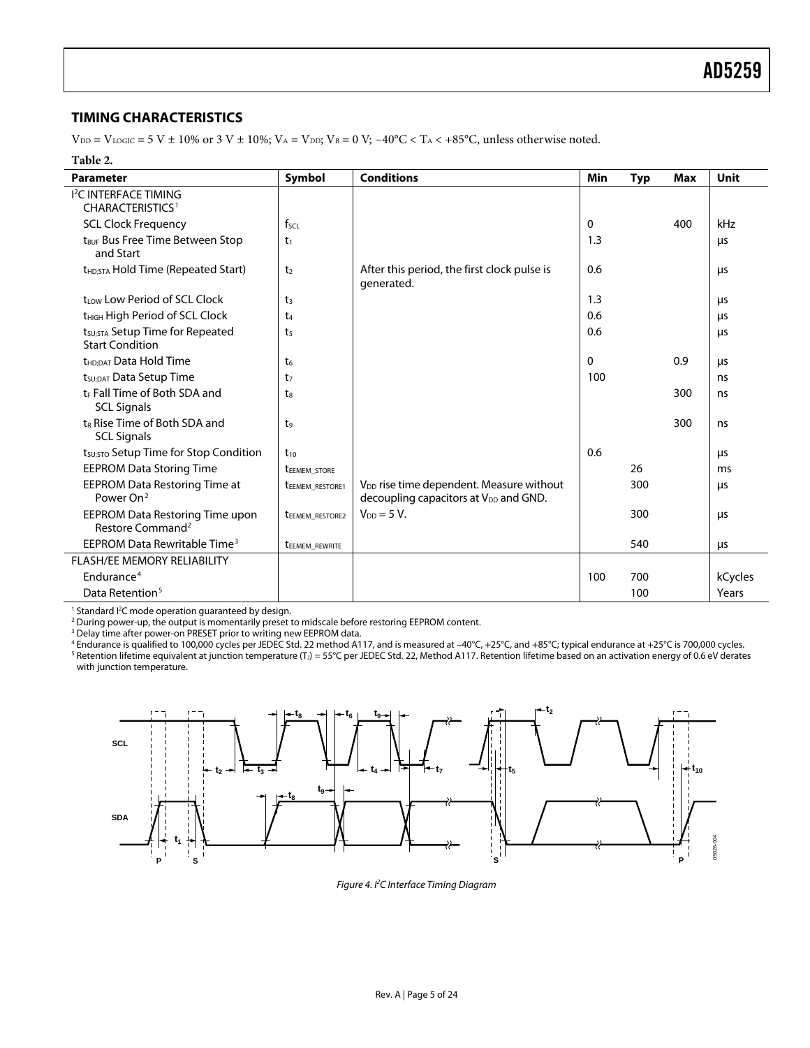## <span id="page-4-1"></span><span id="page-4-0"></span>**TIMING CHARACTERISTICS**

 $V_{DD} = V_{LOGIC} = 5 V \pm 10\%$  or 3 V  $\pm 10\%$ ;  $V_A = V_{DD}$ ;  $V_B = 0 V$ ;  $-40°C < T_A < +85°C$ , unless otherwise noted.

#### **Table 2.**

| <b>Parameter</b>                                                      | <b>Symbol</b>          | <b>Conditions</b>                                                                                         | Min | <b>Typ</b> | Max | Unit    |
|-----------------------------------------------------------------------|------------------------|-----------------------------------------------------------------------------------------------------------|-----|------------|-----|---------|
| <b>I<sup>2</sup>C INTERFACE TIMING</b><br><b>CHARACTERISTICS1</b>     |                        |                                                                                                           |     |            |     |         |
| <b>SCL Clock Frequency</b>                                            | $f_{\text{SCL}}$       |                                                                                                           | 0   |            | 400 | kHz     |
| t <sub>BUF</sub> Bus Free Time Between Stop<br>and Start              | t <sub>1</sub>         |                                                                                                           | 1.3 |            |     | μs      |
| t <sub>HD;STA</sub> Hold Time (Repeated Start)                        | t <sub>2</sub>         | After this period, the first clock pulse is<br>generated.                                                 | 0.6 |            |     | μs      |
| trow Low Period of SCL Clock                                          | t <sub>3</sub>         |                                                                                                           | 1.3 |            |     | μs      |
| t <sub>HIGH</sub> High Period of SCL Clock                            | t <sub>4</sub>         |                                                                                                           | 0.6 |            |     | μs      |
| t <sub>su:STA</sub> Setup Time for Repeated<br><b>Start Condition</b> | t <sub>5</sub>         |                                                                                                           | 0.6 |            |     | μs      |
| t <sub>HD;DAT</sub> Data Hold Time                                    | t <sub>6</sub>         |                                                                                                           | 0   |            | 0.9 | μs      |
| t <sub>SU:DAT</sub> Data Setup Time                                   | t <sub>7</sub>         |                                                                                                           | 100 |            |     | ns      |
| t <sub>E</sub> Fall Time of Both SDA and<br><b>SCL Signals</b>        | ts                     |                                                                                                           |     |            | 300 | ns      |
| t <sub>R</sub> Rise Time of Both SDA and<br><b>SCL Signals</b>        | t <sub>9</sub>         |                                                                                                           |     |            | 300 | ns      |
| t <sub>su;</sub> sto Setup Time for Stop Condition                    | $t_{10}$               |                                                                                                           | 0.6 |            |     | μs      |
| <b>EEPROM Data Storing Time</b>                                       | <b>TEEMEM STORE</b>    |                                                                                                           |     | 26         |     | ms      |
| EEPROM Data Restoring Time at<br>Power On <sup>2</sup>                | <b>TEEMEM RESTORE1</b> | V <sub>DD</sub> rise time dependent. Measure without<br>decoupling capacitors at V <sub>DD</sub> and GND. |     | 300        |     | μs      |
| EEPROM Data Restoring Time upon<br>Restore Command <sup>2</sup>       | <b>TEEMEM RESTORE2</b> | $V_{DD} = 5 V$ .                                                                                          |     | 300        |     | μs      |
| EEPROM Data Rewritable Time <sup>3</sup>                              | teemem_rewrite         |                                                                                                           |     | 540        |     | μs      |
| <b>FLASH/EE MEMORY RELIABILITY</b>                                    |                        |                                                                                                           |     |            |     |         |
| Endurance <sup>4</sup>                                                |                        |                                                                                                           | 100 | 700        |     | kCycles |
| Data Retention <sup>5</sup>                                           |                        |                                                                                                           |     | 100        |     | Years   |

<sup>1</sup> Standard I<sup>2</sup>C mode operation guaranteed by design.<br><sup>2</sup> During nower-un, the output is momentarily preset t

<sup>2</sup> During power-up, the output is momentarily preset to midscale before restoring EEPROM content.

<sup>3</sup> Delay time after power-on PRESET prior to writing new EEPROM data.

<sup>4</sup> Endurance is qualified to 100,000 cycles per JEDEC Std. 22 method A117, and is measured at −40°C, +25°C, and +85°C; typical endurance at +25°C is 700,000 cycles.<br><sup>5</sup> Retention lifetime equivalent at junction temperatu with junction temperature.



Figure 4. I2 C Interface Timing Diagram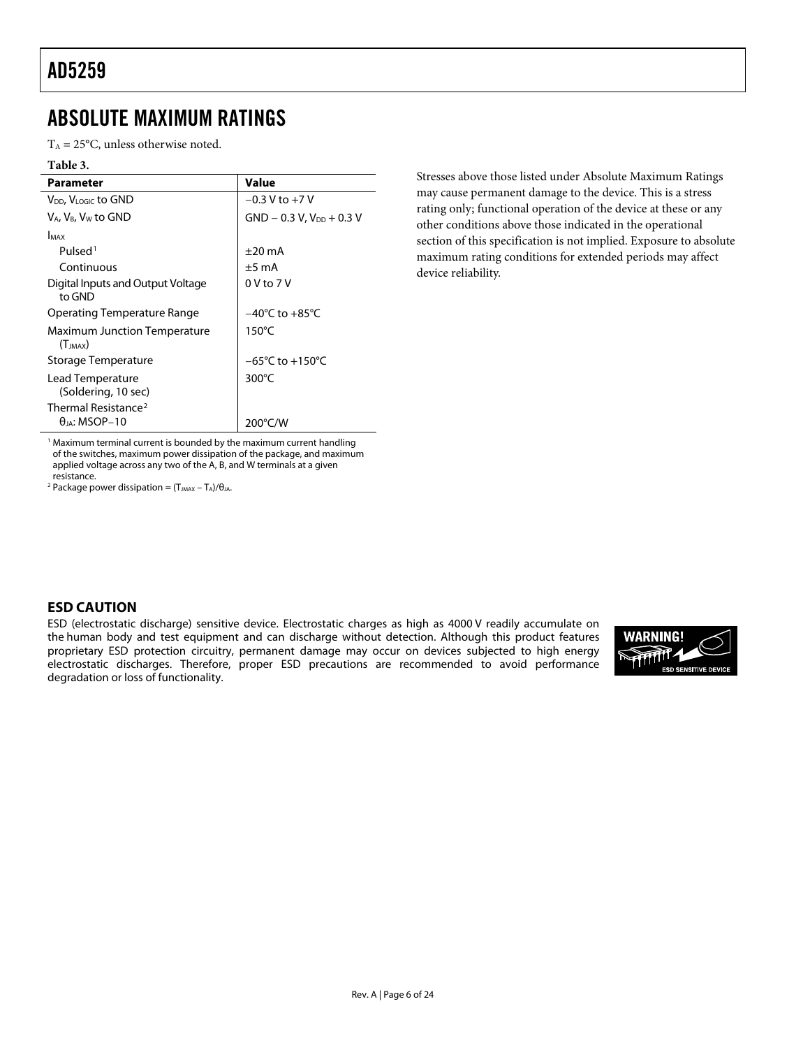## <span id="page-5-0"></span>ABSOLUTE MAXIMUM RATINGS

 $T_A = 25^{\circ}$ C, unless otherwise noted.

#### **Table 3.**

| Parameter                                               | Value                               |
|---------------------------------------------------------|-------------------------------------|
| V <sub>DD</sub> , V <sub>LOGIC</sub> to GND             | $-0.3$ V to $+7$ V                  |
| V <sub>A</sub> , V <sub>B</sub> , V <sub>W</sub> to GND | $GND - 0.3 V, VDD + 0.3 V$          |
| <b>I</b> MAX                                            |                                     |
| Pulsed <sup>1</sup>                                     | $\pm 20$ mA                         |
| Continuous                                              | $±5$ mA                             |
| Digital Inputs and Output Voltage<br>to GND             | $0V$ to $7V$                        |
| Operating Temperature Range                             | $-40^{\circ}$ C to $+85^{\circ}$ C  |
| <b>Maximum Junction Temperature</b><br>$(T_{IMAX})$     | $150^{\circ}$ C                     |
| Storage Temperature                                     | $-65^{\circ}$ C to $+150^{\circ}$ C |
| Lead Temperature<br>(Soldering, 10 sec)                 | 300 $\degree$ C                     |
| $\theta$ ia: MSOP-10                                    |                                     |
| Thermal Resistance <sup>2</sup>                         | 200°C/W                             |

Stresses above those listed under Absolute Maximum Ratings may cause permanent damage to the device. This is a stress rating only; functional operation of the device at these or any other conditions above those indicated in the operational section of this specification is not implied. Exposure to absolute maximum rating conditions for extended periods may affect device reliability.

<sup>1</sup> Maximum terminal current is bounded by the maximum current handling of the switches, maximum power dissipation of the package, and maximum applied voltage across any two of the A, B, and W terminals at a given resistance.

<sup>2</sup> Package power dissipation =  $(T_{JMAX} - T_A)/\theta_{JA}$ .

### **ESD CAUTION**

ESD (electrostatic discharge) sensitive device. Electrostatic charges as high as 4000 V readily accumulate on the human body and test equipment and can discharge without detection. Although this product features proprietary ESD protection circuitry, permanent damage may occur on devices subjected to high energy electrostatic discharges. Therefore, proper ESD precautions are recommended to avoid performance degradation or loss of functionality.

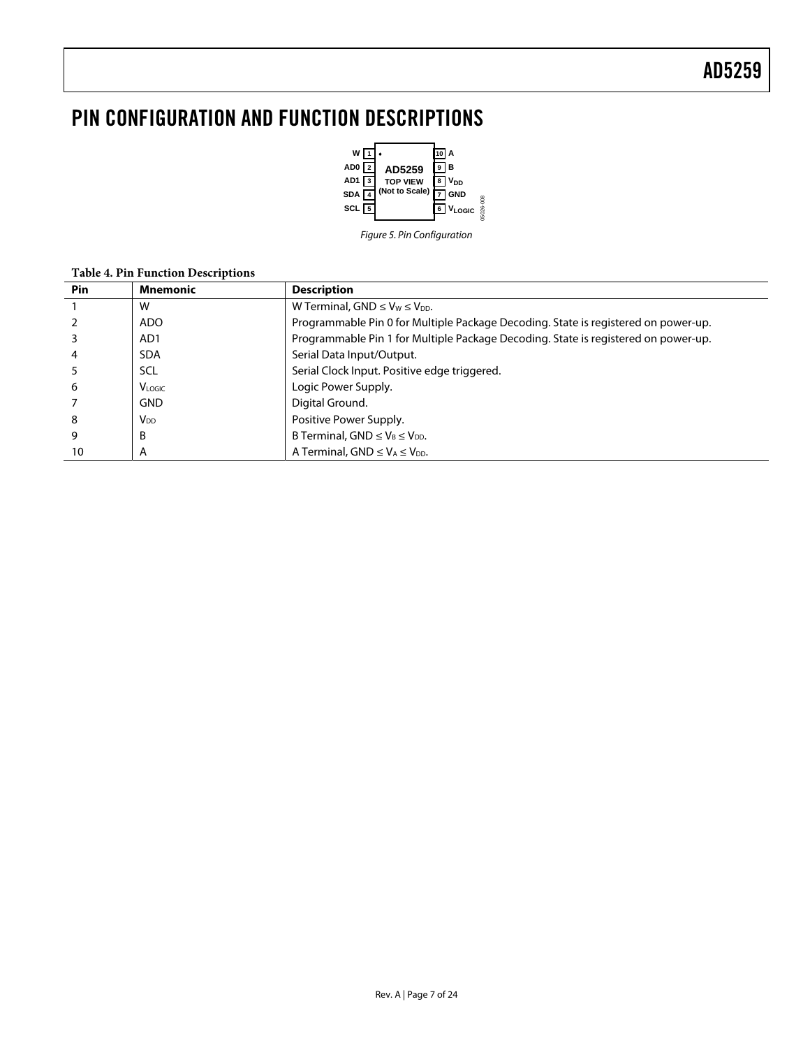# <span id="page-6-0"></span>PIN CONFIGURATION AND FUNCTION DESCRIPTIONS



Figure 5. Pin Configuration

|            | Tuble 1. I in I unchon Descriptions |                                                                                    |  |  |  |  |  |  |  |  |  |
|------------|-------------------------------------|------------------------------------------------------------------------------------|--|--|--|--|--|--|--|--|--|
| <b>Pin</b> | <b>Mnemonic</b>                     | <b>Description</b>                                                                 |  |  |  |  |  |  |  |  |  |
|            | W                                   | W Terminal, GND $\leq$ V <sub>W</sub> $\leq$ V <sub>DD</sub> .                     |  |  |  |  |  |  |  |  |  |
|            | <b>ADO</b>                          | Programmable Pin 0 for Multiple Package Decoding. State is registered on power-up. |  |  |  |  |  |  |  |  |  |
|            | AD <sub>1</sub>                     | Programmable Pin 1 for Multiple Package Decoding. State is registered on power-up. |  |  |  |  |  |  |  |  |  |
| 4          | <b>SDA</b>                          | Serial Data Input/Output.                                                          |  |  |  |  |  |  |  |  |  |
|            | <b>SCL</b>                          | Serial Clock Input. Positive edge triggered.                                       |  |  |  |  |  |  |  |  |  |
| 6          | <b>VLOGIC</b>                       | Logic Power Supply.                                                                |  |  |  |  |  |  |  |  |  |
|            | <b>GND</b>                          | Digital Ground.                                                                    |  |  |  |  |  |  |  |  |  |
| 8          | $V_{DD}$                            | Positive Power Supply.                                                             |  |  |  |  |  |  |  |  |  |
| 9          | B                                   | B Terminal, GND $\leq$ V <sub>B</sub> $\leq$ V <sub>DD</sub> .                     |  |  |  |  |  |  |  |  |  |
| 10         | А                                   | A Terminal, GND $\leq$ V <sub>A</sub> $\leq$ V <sub>DD</sub> .                     |  |  |  |  |  |  |  |  |  |

## **Table 4. Pin Function Descriptions**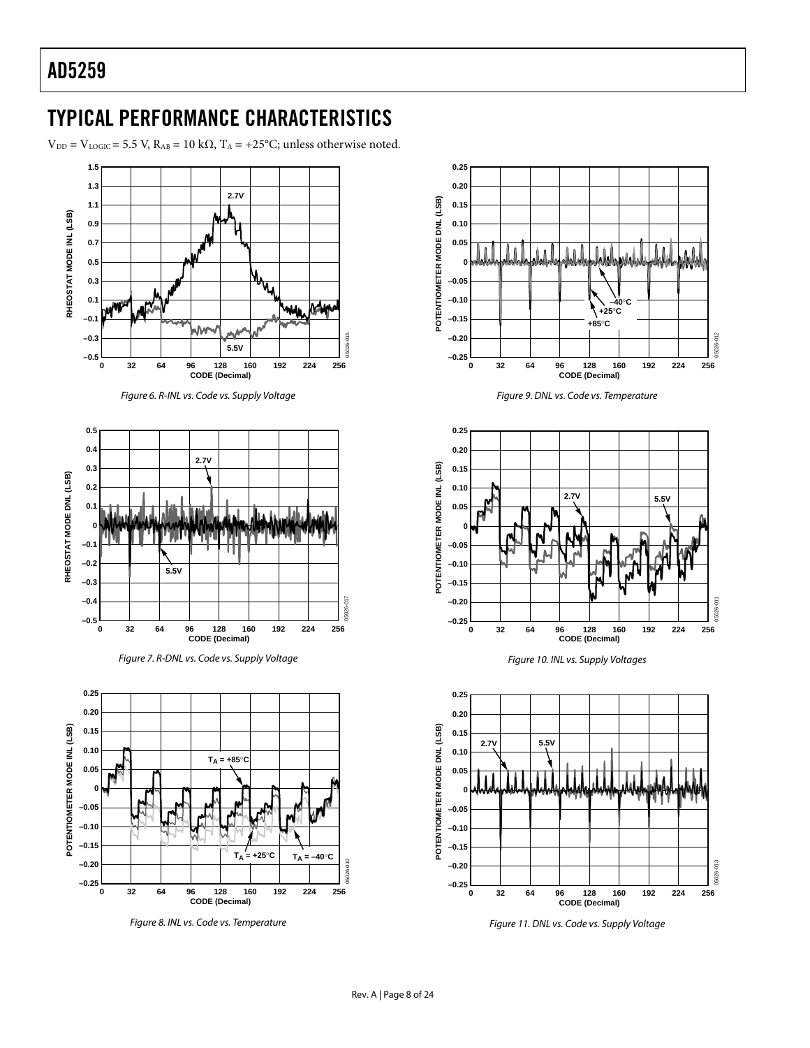# <span id="page-7-0"></span>TYPICAL PERFORMANCE CHARACTERISTICS

 $V_{DD} = V_{LOGIC} = 5.5 V$ ,  $R_{AB} = 10 k\Omega$ ,  $T_A = +25°C$ ; unless otherwise noted.



Figure 6. R-INL vs. Code vs. Supply Voltage







Figure 8. INL vs. Code vs. Temperature











Figure 11. DNL vs. Code vs. Supply Voltage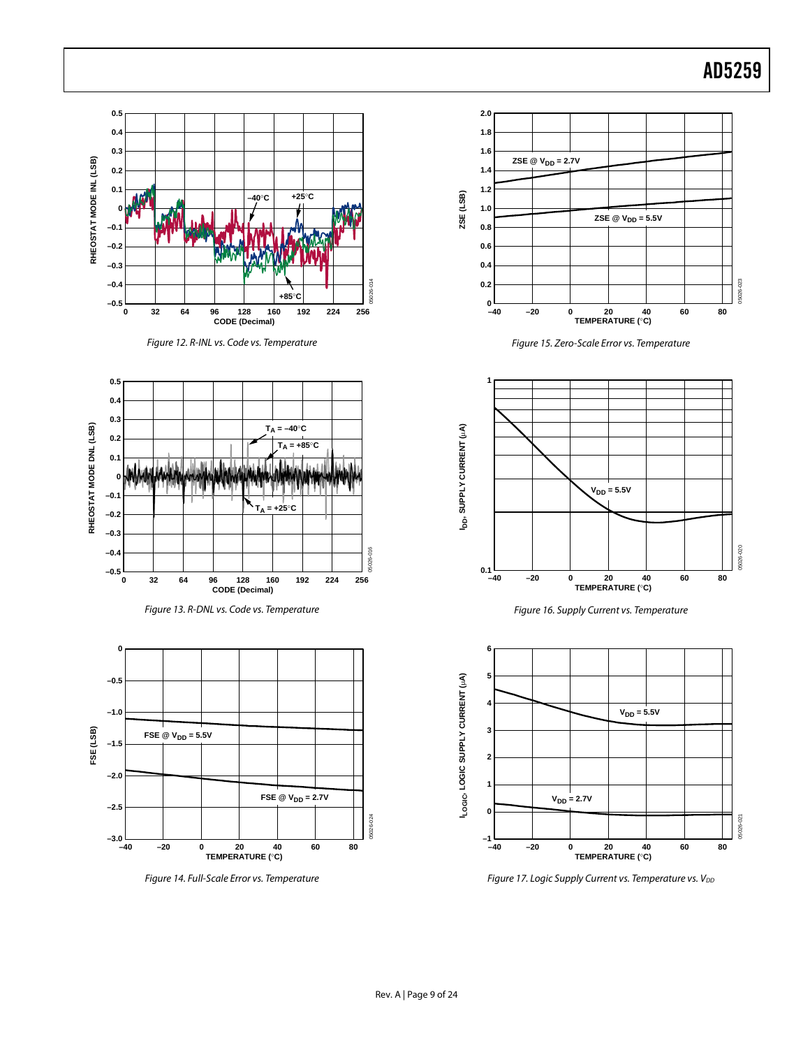

Figure 17. Logic Supply Current vs. Temperature vs.  $V_{DD}$ 

Figure 14. Full-Scale Error vs. Temperature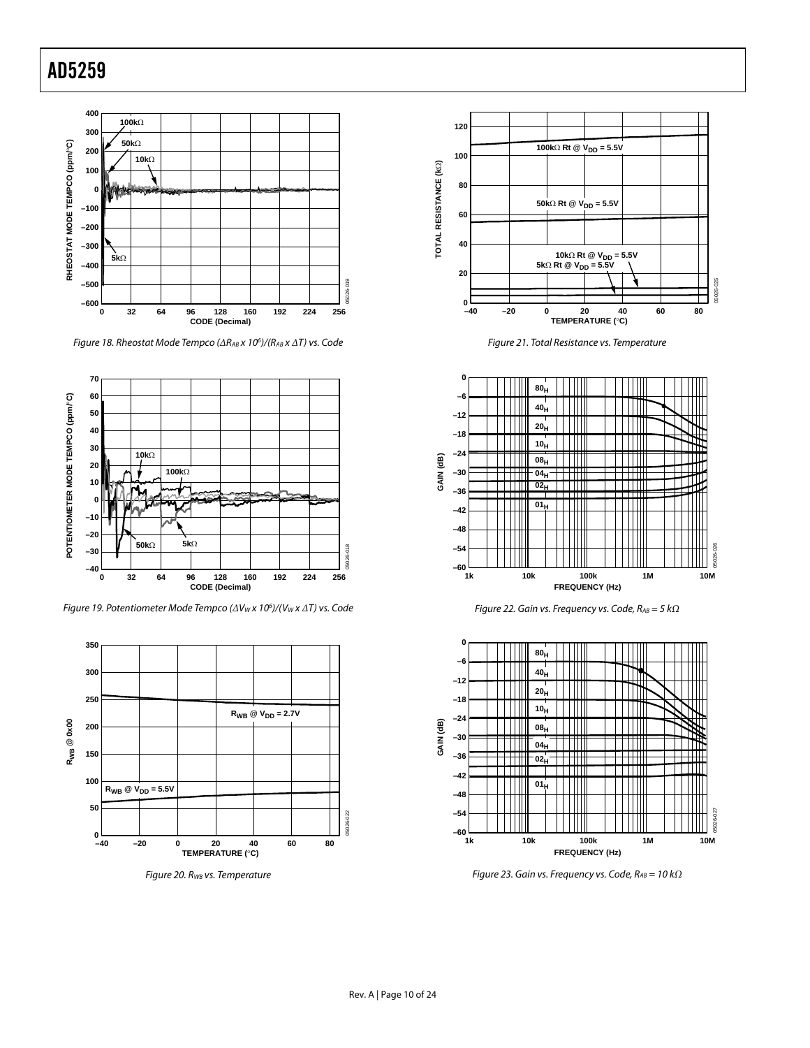

Figure 18. Rheostat Mode Tempco (*Δ*RAB x 106 )/(RAB x *Δ*T) vs. Code



Figure 19. Potentiometer Mode Tempco (ΔV<sub>W</sub> x 10<sup>6</sup>)/(V<sub>W</sub> x ΔT) vs. Code



Figure 20. R<sub>WB</sub> vs. Temperature



Figure 21. Total Resistance vs. Temperature







Figure 23. Gain vs. Frequency vs. Code, R<sub>AB</sub> = 10 kΩ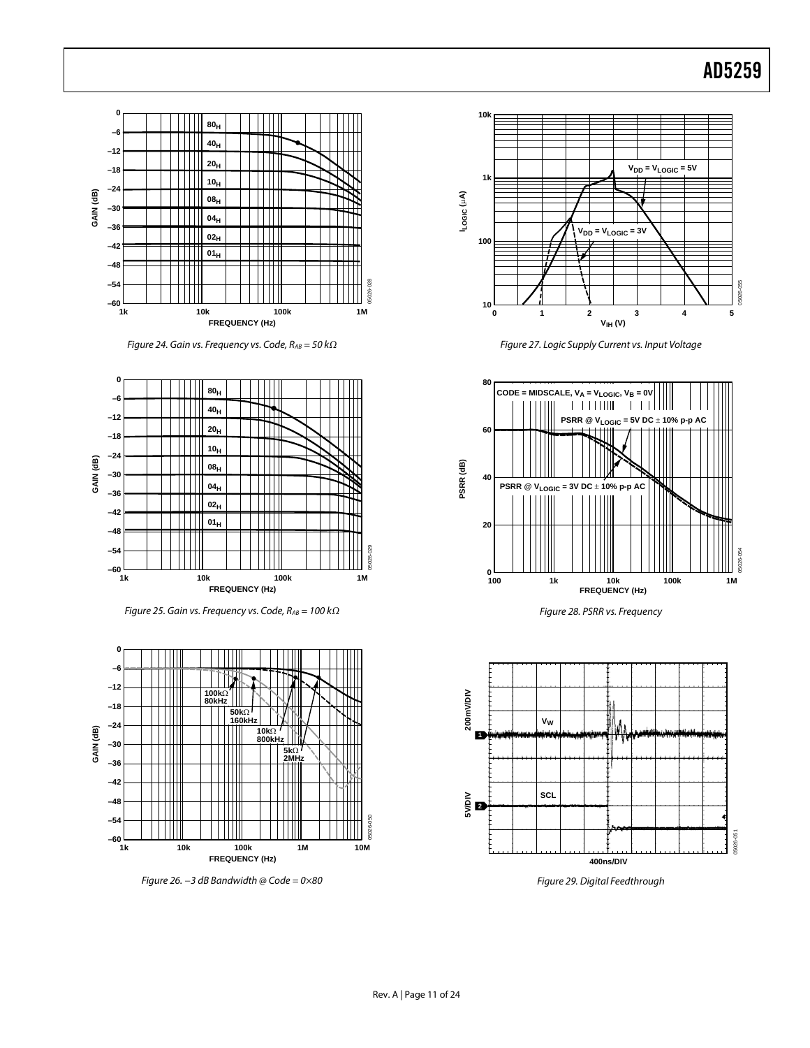

Figure 24. Gain vs. Frequency vs. Code, RAB = 50 k*Ω*



Figure 25. Gain vs. Frequency vs. Code, R<sub>AB</sub> = 100 kΩ



Figure 26. *−*3 dB Bandwidth @ Code = 0×80



Figure 27. Logic Supply Current vs. Input Voltage



Figure 28. PSRR vs. Frequency



Figure 29. Digital Feedthrough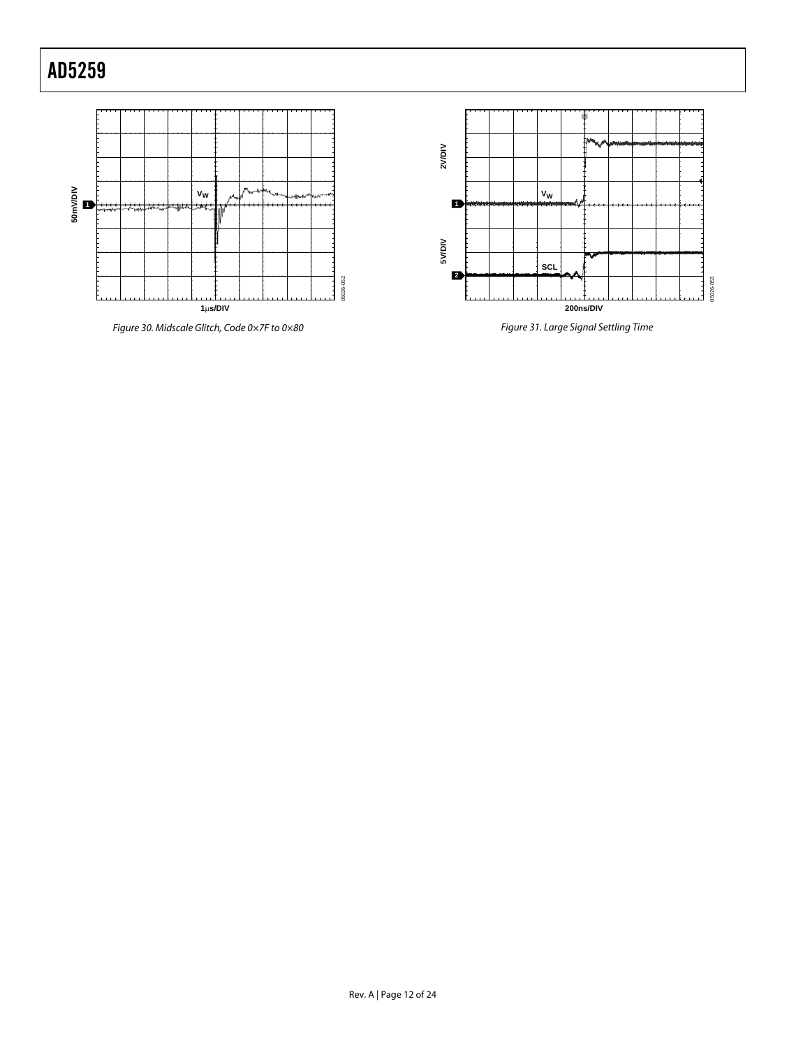

Figure 30. Midscale Glitch, Code 0×7F to 0×80



Figure 31. Large Signal Settling Time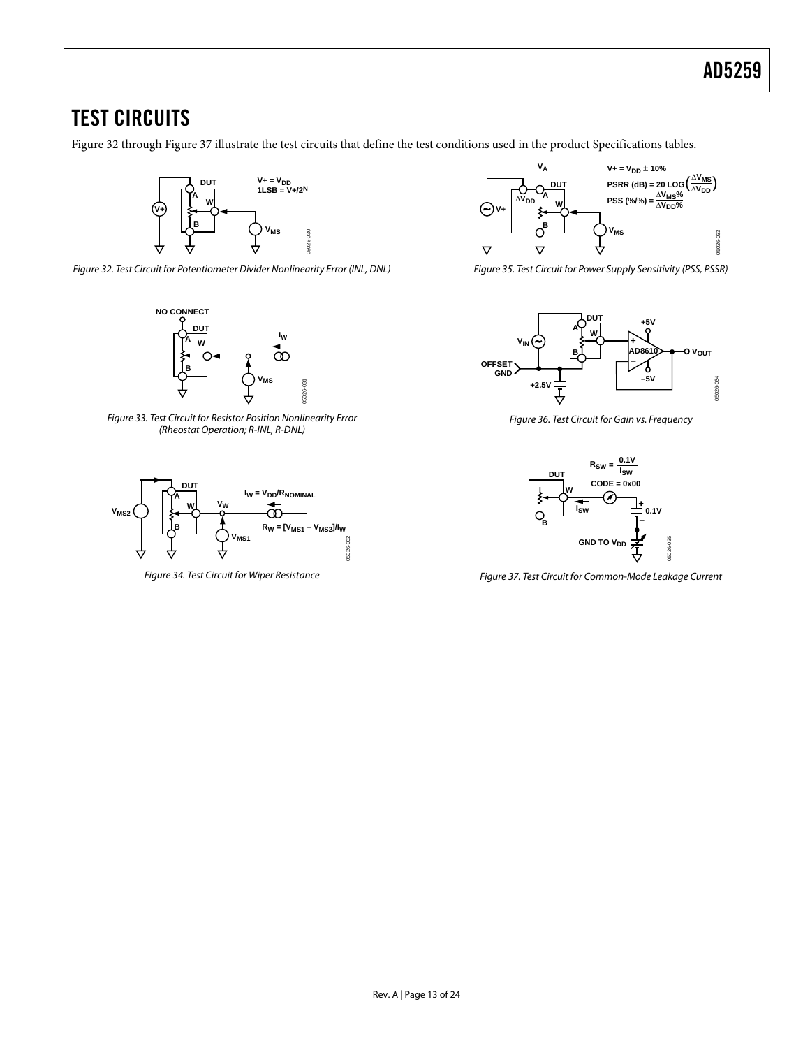## <span id="page-12-0"></span>TEST CIRCUITS

Figure 32 through Figure 37 illustrate the test circuits that define the test conditions used in the product [Specifications](#page-2-1) tables.



Figure 32. Test Circuit for Potentiometer Divider Nonlinearity Error (INL, DNL)



Figure 33. Test Circuit for Resistor Position Nonlinearity Error (Rheostat Operation; R-INL, R-DNL)



Figure 34. Test Circuit for Wiper Resistance



Figure 35. Test Circuit for Power Supply Sensitivity (PSS, PSSR)



Figure 36. Test Circuit for Gain vs. Frequency



Figure 37. Test Circuit for Common-Mode Leakage Current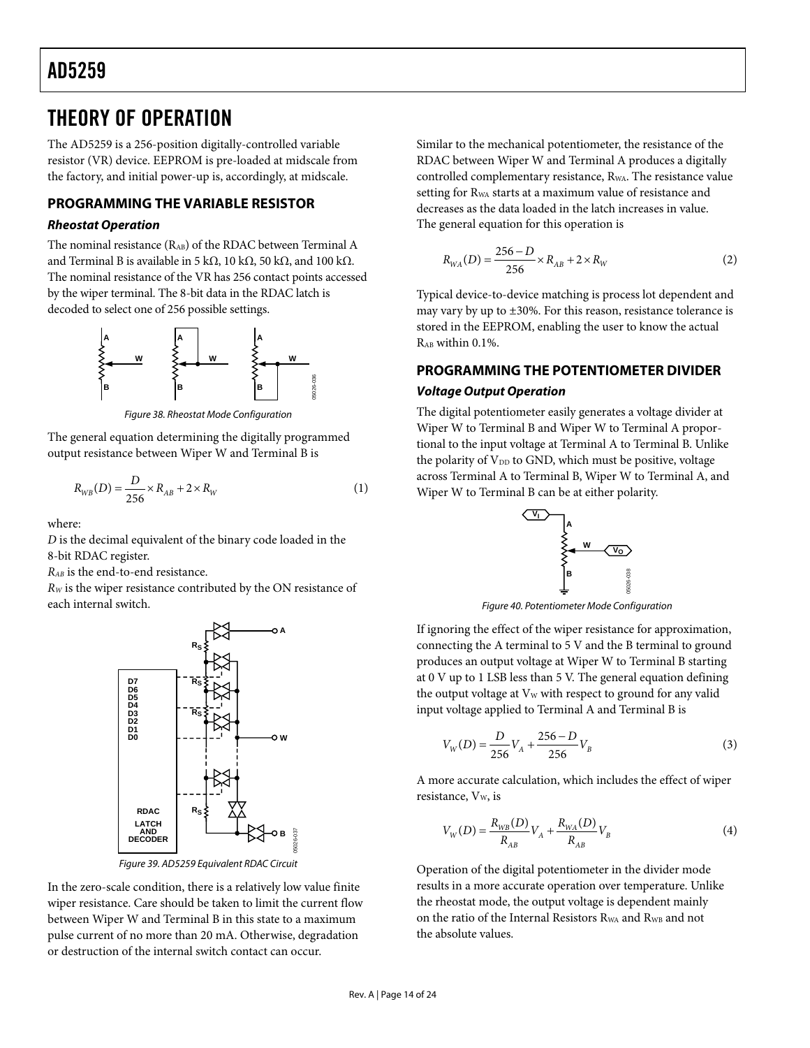## <span id="page-13-0"></span>THEORY OF OPERATION

The AD5259 is a 256-position digitally-controlled variable resistor (VR) device. EEPROM is pre-loaded at midscale from the factory, and initial power-up is, accordingly, at midscale.

## **PROGRAMMING THE VARIABLE RESISTOR**

### **Rheostat Operation**

The nominal resistance (RAB) of the RDAC between Terminal A and Terminal B is available in 5 kΩ, 10 kΩ, 50 kΩ, and 100 kΩ. The nominal resistance of the VR has 256 contact points accessed by the wiper terminal. The 8-bit data in the RDAC latch is decoded to select one of 256 possible settings.



Figure 38. Rheostat Mode Configuration

The general equation determining the digitally programmed output resistance between Wiper W and Terminal B is

$$
R_{WB}(D) = \frac{D}{256} \times R_{AB} + 2 \times R_{W}
$$
 (1)

where:

*D* is the decimal equivalent of the binary code loaded in the 8-bit RDAC register.

*RAB* is the end-to-end resistance.

*RW* is the wiper resistance contributed by the ON resistance of each internal switch.



Figure 39. AD5259 Equivalent RDAC Circuit

In the zero-scale condition, there is a relatively low value finite wiper resistance. Care should be taken to limit the current flow between Wiper W and Terminal B in this state to a maximum pulse current of no more than 20 mA. Otherwise, degradation or destruction of the internal switch contact can occur.

Similar to the mechanical potentiometer, the resistance of the RDAC between Wiper W and Terminal A produces a digitally controlled complementary resistance, R<sub>WA</sub>. The resistance value setting for RWA starts at a maximum value of resistance and decreases as the data loaded in the latch increases in value. The general equation for this operation is

$$
R_{WA}(D) = \frac{256 - D}{256} \times R_{AB} + 2 \times R_{W}
$$
 (2)

Typical device-to-device matching is process lot dependent and may vary by up to  $\pm 30$ %. For this reason, resistance tolerance is stored in the EEPROM, enabling the user to know the actual  $R_{AB}$  within 0.1%.

## **PROGRAMMING THE POTENTIOMETER DIVIDER Voltage Output Operation**

The digital potentiometer easily generates a voltage divider at Wiper W to Terminal B and Wiper W to Terminal A proportional to the input voltage at Terminal A to Terminal B. Unlike the polarity of  $V_{DD}$  to GND, which must be positive, voltage across Terminal A to Terminal B, Wiper W to Terminal A, and Wiper W to Terminal B can be at either polarity.



Figure 40. Potentiometer Mode Configuration

If ignoring the effect of the wiper resistance for approximation, connecting the A terminal to 5 V and the B terminal to ground produces an output voltage at Wiper W to Terminal B starting at 0 V up to 1 LSB less than 5 V. The general equation defining the output voltage at  $V_W$  with respect to ground for any valid input voltage applied to Terminal A and Terminal B is

$$
V_W(D) = \frac{D}{256}V_A + \frac{256 - D}{256}V_B
$$
 (3)

A more accurate calculation, which includes the effect of wiper resistance, V<sub>w</sub>, is

$$
V_{W}(D) = \frac{R_{WB}(D)}{R_{AB}}V_{A} + \frac{R_{WA}(D)}{R_{AB}}V_{B}
$$
(4)

Operation of the digital potentiometer in the divider mode results in a more accurate operation over temperature. Unlike the rheostat mode, the output voltage is dependent mainly on the ratio of the Internal Resistors R<sub>WA</sub> and R<sub>WB</sub> and not the absolute values.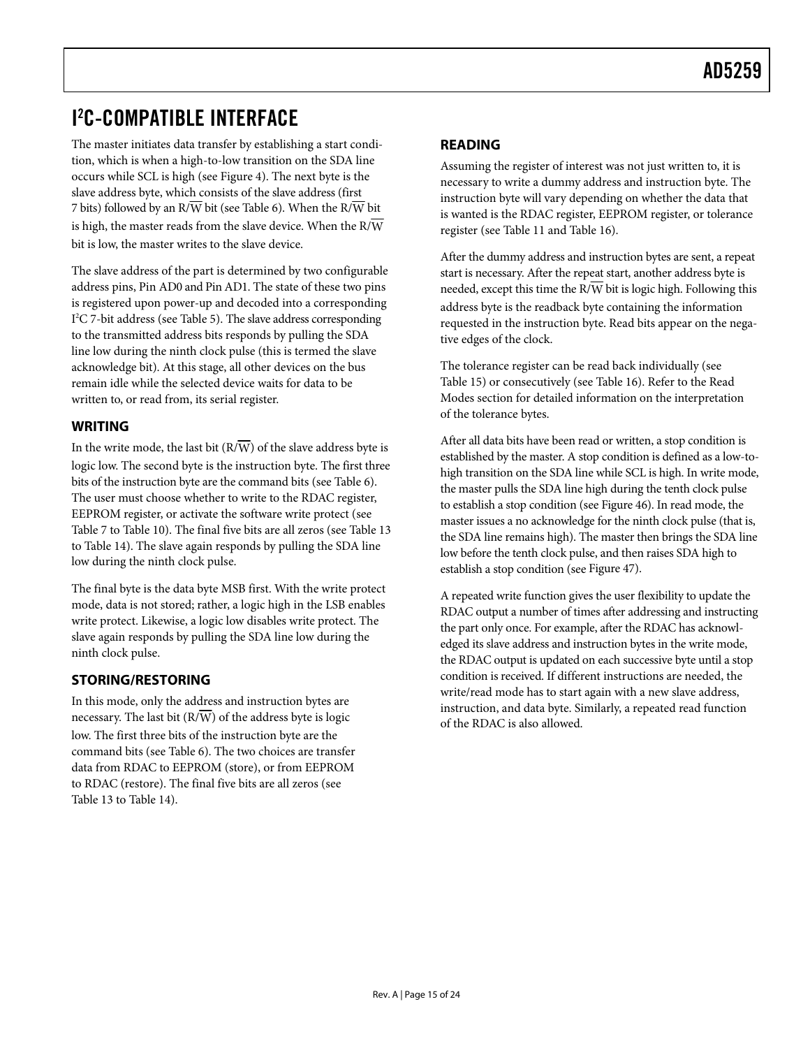# <span id="page-14-0"></span>I 2 C-COMPATIBLE INTERFACE

The master initiates data transfer by establishing a start condition, which is when a high-to-low transition on the SDA line occurs while SCL is high (see [Figure 4\)](#page-4-1). The next byte is the slave address byte, which consists of the slave address (first 7 bits) followed by an R/W bit (see [Table 6\)](#page-17-1). When the R/W bit is high, the master reads from the slave device. When the  $R/\overline{W}$ bit is low, the master writes to the slave device.

The slave address of the part is determined by two configurable address pins, Pin AD0 and Pin AD1. The state of these two pins is registered upon power-up and decoded into a corresponding I 2 C 7-bit address (se[e Table 5\)](#page-15-1). The slave address corresponding to the transmitted address bits responds by pulling the SDA line low during the ninth clock pulse (this is termed the slave acknowledge bit). At this stage, all other devices on the bus remain idle while the selected device waits for data to be written to, or read from, its serial register.

## **WRITING**

In the write mode, the last bit  $(R/\overline{W})$  of the slave address byte is logic low. The second byte is the instruction byte. The first three bits of the instruction byte are the command bits (see [Table 6\)](#page-15-1). The user must choose whether to write to the RDAC register, EEPROM register, or activate the software write protect (see [Table 7](#page-15-1) to [Table 10\)](#page-15-1). The final five bits are all zeros (see [Table 13](#page-16-1) to [Table 14\)](#page-16-1). The slave again responds by pulling the SDA line low during the ninth clock pulse.

The final byte is the data byte MSB first. With the write protect mode, data is not stored; rather, a logic high in the LSB enables write protect. Likewise, a logic low disables write protect. The slave again responds by pulling the SDA line low during the ninth clock pulse.

## **STORING/RESTORING**

In this mode, only the address and instruction bytes are necessary. The last bit  $(R/\overline{W})$  of the address byte is logic low. The first three bits of the instruction byte are the command bits (see [Table 6\)](#page-15-1). The two choices are transfer data from RDAC to EEPROM (store), or from EEPROM to RDAC (restore). The final five bits are all zeros (see [Table 13 t](#page-16-1)o [Table 14\)](#page-16-1).

## **READING**

Assuming the register of interest was not just written to, it is necessary to write a dummy address and instruction byte. The instruction byte will vary depending on whether the data that is wanted is the RDAC register, EEPROM register, or tolerance register (see [Table 11](#page-16-1) and [Table 16](#page-17-1)).

After the dummy address and instruction bytes are sent, a repeat start is necessary. After the repeat start, another address byte is needed, except this time the  $R/\overline{W}$  bit is logic high. Following this address byte is the readback byte containing the information requested in the instruction byte. Read bits appear on the negative edges of the clock.

The tolerance register can be read back individually (see [Table 15](#page-17-1)) or consecutively (see [Table 16](#page-17-1)). Refer to the [Read](#page-16-1)  [Modes](#page-16-1) section for detailed information on the interpretation of the tolerance bytes.

After all data bits have been read or written, a stop condition is established by the master. A stop condition is defined as a low-tohigh transition on the SDA line while SCL is high. In write mode, the master pulls the SDA line high during the tenth clock pulse to establish a stop condition (see [Figure 46](#page-19-1)). In read mode, the master issues a no acknowledge for the ninth clock pulse (that is, the SDA line remains high). The master then brings the SDA line low before the tenth clock pulse, and then raises SDA high to establish a stop condition (see [Figure 47\)](#page-19-1).

A repeated write function gives the user flexibility to update the RDAC output a number of times after addressing and instructing the part only once. For example, after the RDAC has acknowledged its slave address and instruction bytes in the write mode, the RDAC output is updated on each successive byte until a stop condition is received. If different instructions are needed, the write/read mode has to start again with a new slave address, instruction, and data byte. Similarly, a repeated read function of the RDAC is also allowed.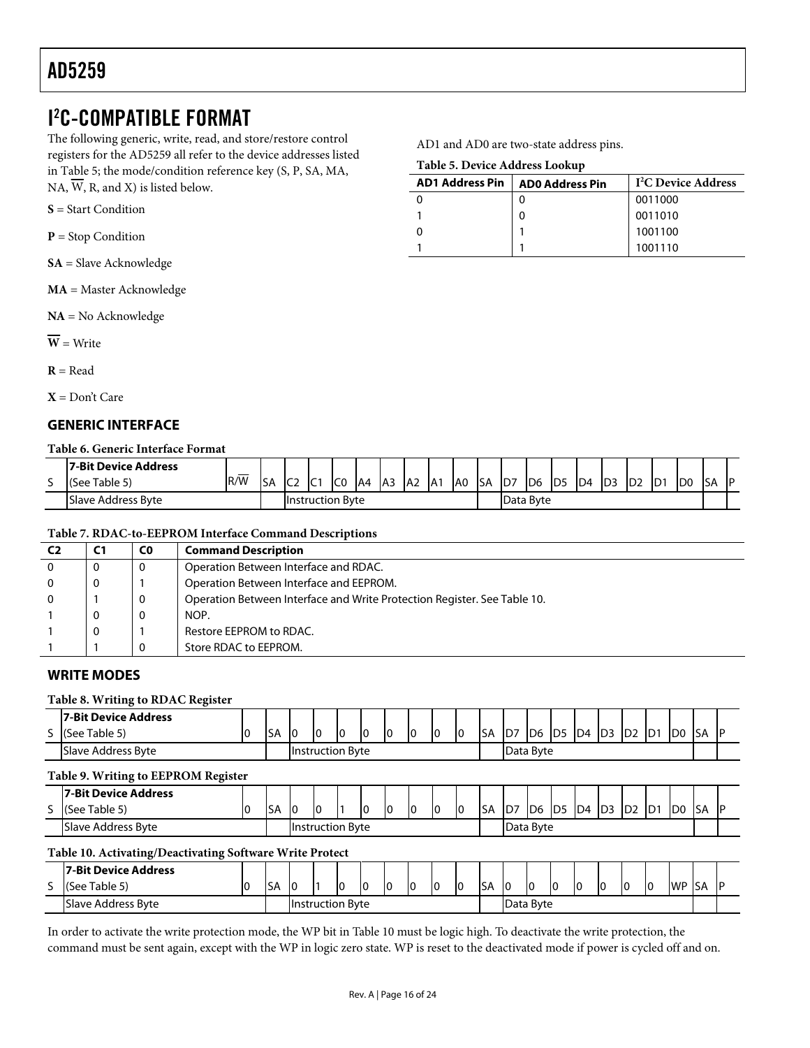## <span id="page-15-1"></span><span id="page-15-0"></span>I 2 C-COMPATIBLE FORMAT

The following generic, write, read, and store/restore control registers for the AD5259 all refer to the device addresses listed in Table 5; the mode/condition reference key (S, P, SA, MA, NA,  $\overline{W}$ , R, and X) is listed below.

|  |  |  | $S = Start Condition$ |
|--|--|--|-----------------------|
|--|--|--|-----------------------|

**P** = Stop Condition

**SA** = Slave Acknowledge

**MA** = Master Acknowledge

**NA** = No Acknowledge

 $\overline{\mathbf{W}}$  = Write

 $R = Read$ 

**X** = Don't Care

## **GENERIC INTERFACE**

### **Table 6. Generic Interface Format**

|   | <b>17-Bit Device Address</b> |           |           |                 |                         |                 |    |                 |                 |                 |                  |             |     |                 |                 |     |                 |     |                 |                 |     |    |
|---|------------------------------|-----------|-----------|-----------------|-------------------------|-----------------|----|-----------------|-----------------|-----------------|------------------|-------------|-----|-----------------|-----------------|-----|-----------------|-----|-----------------|-----------------|-----|----|
| ۔ | (See Table 5)                | __<br>R/W | <b>SA</b> | IC <sub>2</sub> | $\sim 10^{-4}$<br>. ש   | IC <sub>0</sub> | A4 | IA <sub>3</sub> | IA <sub>2</sub> | IA <sub>1</sub> | IA <sub>0</sub>  | <b>I</b> SA | ID7 | ID <sub>6</sub> | ID <sub>5</sub> | ID4 | ID <sub>3</sub> | ID2 | ID <sub>1</sub> | ID <sub>0</sub> | ISA | ID |
|   | <b>ISlave Address Byte</b>   |           |           |                 | <b>Instruction Byte</b> |                 |    |                 |                 |                 | <b>Data Byte</b> |             |     |                 |                 |     |                 |     |                 |                 |     |    |

#### **Table 7. RDAC-to-EEPROM Interface Command Descriptions**

| C <sub>2</sub> | C <sub>1</sub> | C <sub>0</sub> | <b>Command Description</b>                                               |
|----------------|----------------|----------------|--------------------------------------------------------------------------|
| $\Omega$       |                | 0              | Operation Between Interface and RDAC.                                    |
|                |                |                | Operation Between Interface and EEPROM.                                  |
| $\Omega$       |                | 0              | Operation Between Interface and Write Protection Register. See Table 10. |
|                |                | 0              | NOP.                                                                     |
|                |                |                | Restore EEPROM to RDAC.                                                  |
|                |                | 0              | Store RDAC to EEPROM.                                                    |

### **WRITE MODES**

### **Table 8. Writing to RDAC Register**

|                                     | 7-Bit Device Address                                     |    |           |                         |    |    |    |    |    |    |    |            |           |                 |                 |                |                |                |                |                |            |           |
|-------------------------------------|----------------------------------------------------------|----|-----------|-------------------------|----|----|----|----|----|----|----|------------|-----------|-----------------|-----------------|----------------|----------------|----------------|----------------|----------------|------------|-----------|
|                                     | S (See Table 5)                                          | 0  | SA        | 10                      | I0 | I0 | I0 | 10 | 10 | I0 | Iо | <b>ISA</b> | D7        | ID <sub>6</sub> | ID <sub>5</sub> | D <sub>4</sub> | D <sub>3</sub> | D <sub>2</sub> | D1             | D <sub>0</sub> | <b>SA</b>  | <b>IP</b> |
|                                     | Slave Address Byte                                       |    |           | <b>Instruction Byte</b> |    |    |    |    |    |    |    |            |           | Data Byte       |                 |                |                |                |                |                |            |           |
| Table 9. Writing to EEPROM Register |                                                          |    |           |                         |    |    |    |    |    |    |    |            |           |                 |                 |                |                |                |                |                |            |           |
|                                     | 7-Bit Device Address                                     |    |           |                         |    |    |    |    |    |    |    |            |           |                 |                 |                |                |                |                |                |            |           |
|                                     | S (See Table 5)                                          |    | <b>SA</b> | Iо                      | I0 |    | I٥ | 10 |    | 10 | I0 | <b>SA</b>  | D7        | ID6             | ID <sub>5</sub> | D4             | ID3            | D <sub>2</sub> | D <sub>1</sub> | D <sub>0</sub> | <b>ISA</b> | <b>IP</b> |
|                                     | Slave Address Byte                                       |    |           | <b>Instruction Byte</b> |    |    |    |    |    |    |    |            | Data Byte |                 |                 |                |                |                |                |                |            |           |
|                                     | Table 10. Activating/Deactivating Software Write Protect |    |           |                         |    |    |    |    |    |    |    |            |           |                 |                 |                |                |                |                |                |            |           |
|                                     | 7-Bit Device Address                                     |    |           |                         |    |    |    |    |    |    |    |            |           |                 |                 |                |                |                |                |                |            |           |
|                                     | (See Table 5)                                            | 10 | <b>SA</b> | 10                      |    | IО | I٥ | I0 | 10 | I0 | 10 | <b>SA</b>  | 10        | I0              | 10              | I0             | 10             | I0             | I0             | WP SA          |            | -lP       |
|                                     | <b>Slave Address Byte</b>                                |    |           | <b>Instruction Byte</b> |    |    |    |    |    |    |    | Data Byte  |           |                 |                 |                |                |                |                |                |            |           |

In order to activate the write protection mode, the WP bit in Table 10 must be logic high. To deactivate the write protection, the command must be sent again, except with the WP in logic zero state. WP is reset to the deactivated mode if power is cycled off and on.

AD1 and AD0 are two-state address pins.

| $-$ wore c, $-$ c, $-$ c, $-$ c, $-$ c, $-$ c, $-$ c, $-$ c, $-$ c, $-$ c, $-$ c, $-$ c, $-$ c, $-$ c, $-$ c, $-$ c, $-$ c, $-$ c, $-$ c, $-$ c, $-$ c, $-$ c, $-$ c, $-$ c, $-$ c, $-$ c, $-$ c, $-$ c, $-$ c, $-$ c, $-$ c, |                        |                                 |  |  |  |  |  |  |
|-------------------------------------------------------------------------------------------------------------------------------------------------------------------------------------------------------------------------------|------------------------|---------------------------------|--|--|--|--|--|--|
| <b>AD1 Address Pin</b>                                                                                                                                                                                                        | <b>ADO Address Pin</b> | I <sup>2</sup> C Device Address |  |  |  |  |  |  |
|                                                                                                                                                                                                                               |                        | 0011000                         |  |  |  |  |  |  |
|                                                                                                                                                                                                                               |                        | 0011010                         |  |  |  |  |  |  |
|                                                                                                                                                                                                                               |                        | 1001100                         |  |  |  |  |  |  |
|                                                                                                                                                                                                                               |                        | 1001110                         |  |  |  |  |  |  |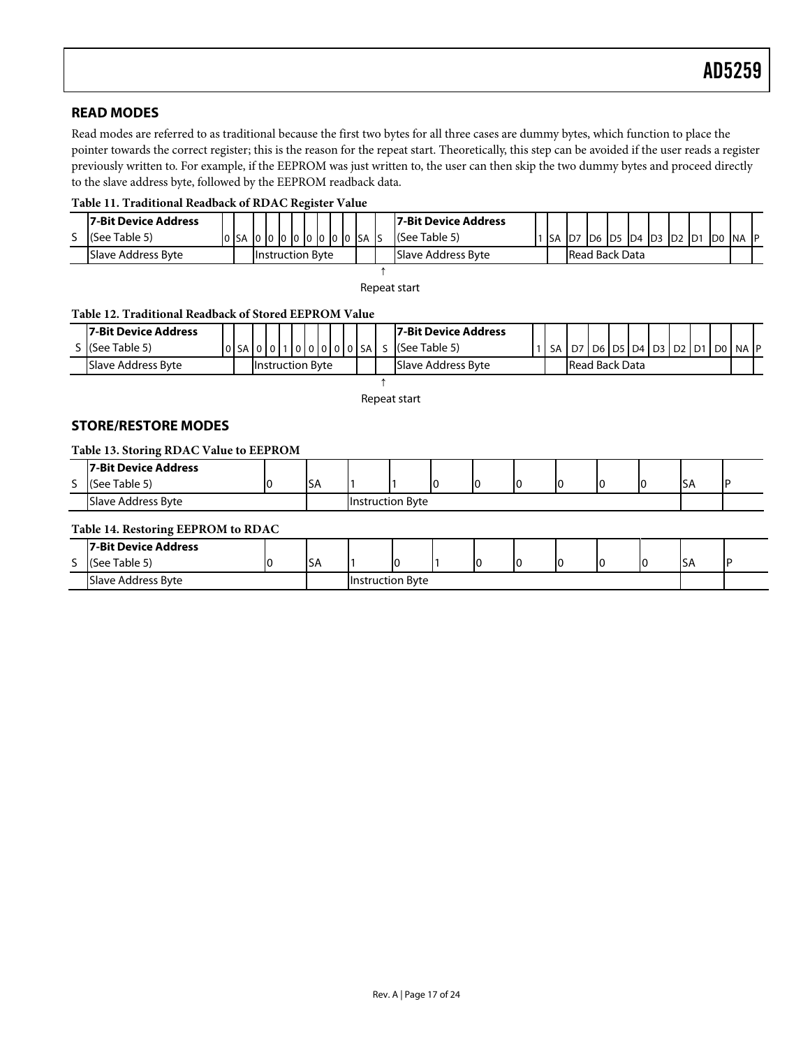## <span id="page-16-1"></span><span id="page-16-0"></span>**READ MODES**

Read modes are referred to as traditional because the first two bytes for all three cases are dummy bytes, which function to place the pointer towards the correct register; this is the reason for the repeat start. Theoretically, this step can be avoided if the user reads a register previously written to. For example, if the EEPROM was just written to, the user can then skip the two dummy bytes and proceed directly to the slave address byte, followed by the EEPROM readback data.

### **Table 11. Traditional Readback of RDAC Register Value**

| <b>17-Bit Device Address</b>                  |  |                  |  |  |  |                                             |        |            |  | 17-Bit Device Address |  |  |                                           |  |  |  |  |  |  |
|-----------------------------------------------|--|------------------|--|--|--|---------------------------------------------|--------|------------|--|-----------------------|--|--|-------------------------------------------|--|--|--|--|--|--|
| (See Table 5)                                 |  | 0 SA 0 0 0 0 0 0 |  |  |  |                                             | lololo | <b>ISA</b> |  | (See Table 5)         |  |  | SA  D7  D6  D5  D4  D3  D2  D1  D0  NA  P |  |  |  |  |  |  |
| Slave Address Byte<br><b>Instruction Byte</b> |  |                  |  |  |  | Slave Address Byte<br><b>Read Back Data</b> |        |            |  |                       |  |  |                                           |  |  |  |  |  |  |
|                                               |  |                  |  |  |  |                                             |        |            |  |                       |  |  |                                           |  |  |  |  |  |  |

Repeat start

### **Table 12. Traditional Readback of Stored EEPROM Value**

| 17-Bit Device Address                   |  |        |  |         |                    |  |                       |                | <b>17-Bit Device Address</b> |           |  |                   |  |  |  |         |  |
|-----------------------------------------|--|--------|--|---------|--------------------|--|-----------------------|----------------|------------------------------|-----------|--|-------------------|--|--|--|---------|--|
| : I(See Table 5)                        |  | 0 SA 0 |  | ا ۱۵ Io |                    |  |                       | ' 0 0 0 0 0 SA | (See Table 5)                | <b>SA</b> |  | D6 D5 D4 D3 D2 D1 |  |  |  | DO NAIP |  |
| Slave Address Byte<br>Ilnstruction Byte |  |        |  |         | Slave Address Byte |  | <b>Read Back Data</b> |                |                              |           |  |                   |  |  |  |         |  |

↑ Repeat start

### **STORE/RESTORE MODES**

#### **Table 13. Storing RDAC Value to EEPROM**

|        | <b>7-Bit Device Address</b> |  |                         |  |  |    |    |    |  |     |  |
|--------|-----------------------------|--|-------------------------|--|--|----|----|----|--|-----|--|
| -<br>J | (See Table 5)               |  | <b>ISA</b>              |  |  | IО | 10 | IC |  | וכו |  |
|        | Slave Address Byte          |  | <b>Instruction Byte</b> |  |  |    |    |    |  |     |  |

#### **Table 14. Restoring EEPROM to RDAC**

|                               | 7-Bit Device Address |               |                         |  |   |  |  |      |  |
|-------------------------------|----------------------|---------------|-------------------------|--|---|--|--|------|--|
| $\overline{\phantom{0}}$<br>÷ | (See Table 5)        | $\sim$<br>ıэA |                         |  | ı |  |  | Ac I |  |
|                               | Slave Address Byte   |               | <b>Instruction Byte</b> |  |   |  |  |      |  |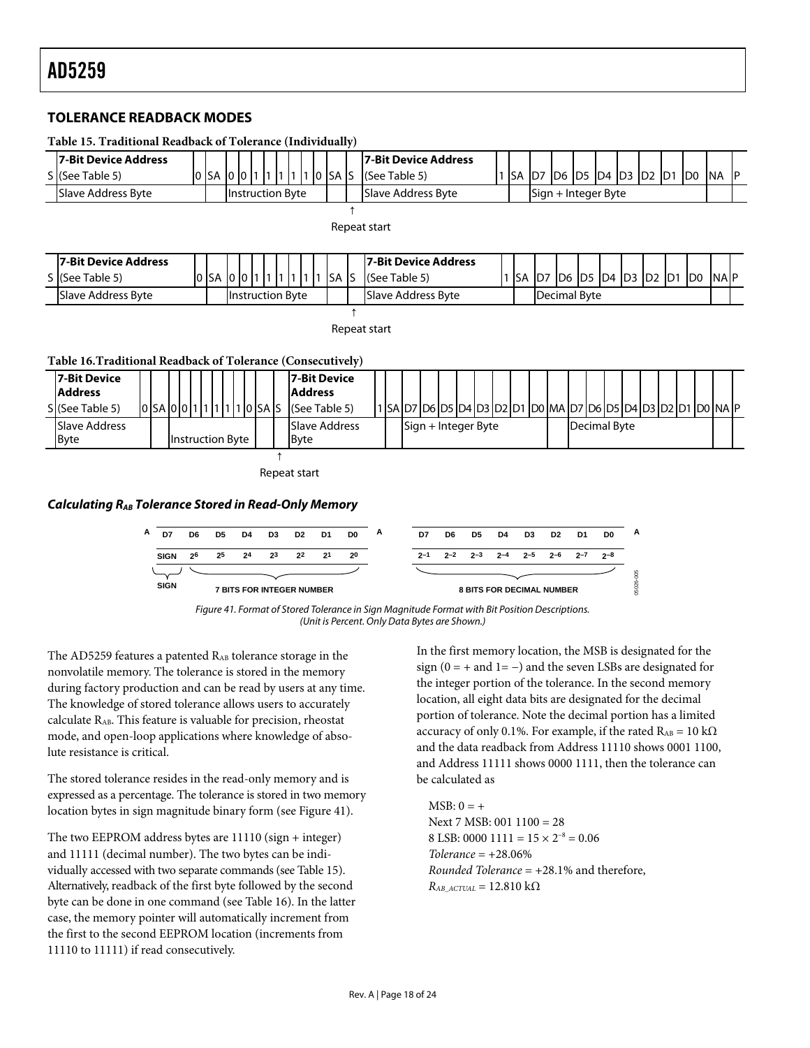### <span id="page-17-1"></span><span id="page-17-0"></span>**TOLERANCE READBACK MODES**





(Unit is Percent. Only Data Bytes are Shown.)

The AD5259 features a patented RAB tolerance storage in the nonvolatile memory. The tolerance is stored in the memory during factory production and can be read by users at any time. The knowledge of stored tolerance allows users to accurately calculate RAB. This feature is valuable for precision, rheostat mode, and open-loop applications where knowledge of absolute resistance is critical.

The stored tolerance resides in the read-only memory and is expressed as a percentage. The tolerance is stored in two memory location bytes in sign magnitude binary form (see Figure 41).

The two EEPROM address bytes are 11110 (sign + integer) and 11111 (decimal number). The two bytes can be individually accessed with two separate commands (see Table 15). Alternatively, readback of the first byte followed by the second byte can be done in one command (see Table 16). In the latter case, the memory pointer will automatically increment from the first to the second EEPROM location (increments from 11110 to 11111) if read consecutively.

In the first memory location, the MSB is designated for the sign ( $0 = +$  and  $1 = -$ ) and the seven LSBs are designated for the integer portion of the tolerance. In the second memory location, all eight data bits are designated for the decimal portion of tolerance. Note the decimal portion has a limited accuracy of only 0.1%. For example, if the rated  $R_{AB} = 10 \text{ k}\Omega$ and the data readback from Address 11110 shows 0001 1100, and Address 11111 shows 0000 1111, then the tolerance can be calculated as

05026-005

5026-005

 $MSB: 0 = +$ Next 7 MSB: 001 1100 = 28 8 LSB: 0000  $1111 = 15 \times 2^{-8} = 0.06$ *Tolerance* = +28.06% *Rounded Tolerance* = +28.1% and therefore,  $R_{AB\_ACTUAL} = 12.810 \text{ k}\Omega$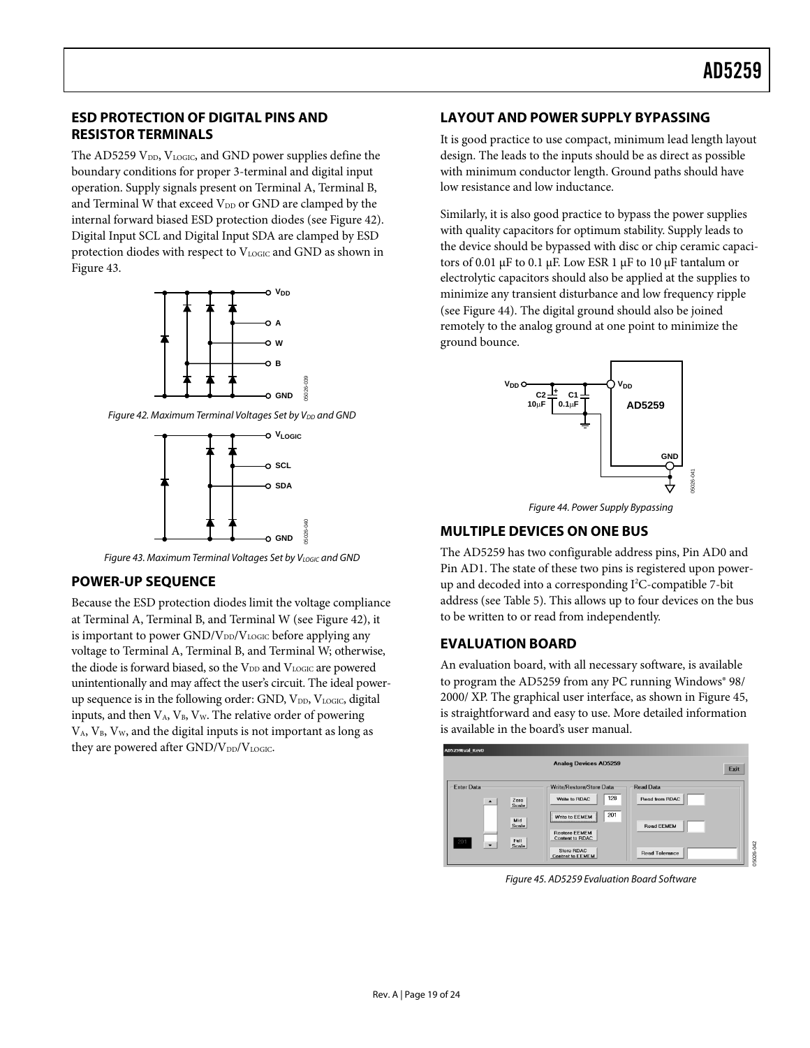## <span id="page-18-0"></span>**ESD PROTECTION OF DIGITAL PINS AND RESISTOR TERMINALS**

The AD5259  $V_{DD}$ ,  $V_{LOGIC}$ , and GND power supplies define the boundary conditions for proper 3-terminal and digital input operation. Supply signals present on Terminal A, Terminal B, and Terminal W that exceed  $V_{DD}$  or GND are clamped by the internal forward biased ESD protection diodes (see Figure 42). Digital Input SCL and Digital Input SDA are clamped by ESD protection diodes with respect to  $V_{LOGIC}$  and GND as shown in Figure 43.



Figure 42. Maximum Terminal Voltages Set by V<sub>DD</sub> and GND



Figure 43. Maximum Terminal Voltages Set by VLOGIC and GND

## **POWER-UP SEQUENCE**

Because the ESD protection diodes limit the voltage compliance at Terminal A, Terminal B, and Terminal W (see Figure 42), it is important to power  $GND/V_{DD}/V_{LOGIC}$  before applying any voltage to Terminal A, Terminal B, and Terminal W; otherwise, the diode is forward biased, so the V<sub>DD</sub> and V<sub>LOGIC</sub> are powered unintentionally and may affect the user's circuit. The ideal powerup sequence is in the following order: GND, V<sub>DD</sub>, V<sub>LOGIC</sub>, digital inputs, and then  $V_A$ ,  $V_B$ ,  $V_W$ . The relative order of powering  $V_A$ ,  $V_B$ ,  $V_W$ , and the digital inputs is not important as long as they are powered after  $GND/V_{DD}/V_{LOGIC}$ .

### **LAYOUT AND POWER SUPPLY BYPASSING**

It is good practice to use compact, minimum lead length layout design. The leads to the inputs should be as direct as possible with minimum conductor length. Ground paths should have low resistance and low inductance.

Similarly, it is also good practice to bypass the power supplies with quality capacitors for optimum stability. Supply leads to the device should be bypassed with disc or chip ceramic capacitors of 0.01 μF to 0.1 μF. Low ESR 1 μF to 10 μF tantalum or electrolytic capacitors should also be applied at the supplies to minimize any transient disturbance and low frequency ripple (see Figure 44). The digital ground should also be joined remotely to the analog ground at one point to minimize the ground bounce.



Figure 44. Power Supply Bypassing

### **MULTIPLE DEVICES ON ONE BUS**

The AD5259 has two configurable address pins, Pin AD0 and Pin AD1. The state of these two pins is registered upon powerup and decoded into a corresponding I<sup>2</sup>C-compatible 7-bit address (see [Table 5\)](#page-15-1). This allows up to four devices on the bus to be written to or read from independently.

### **EVALUATION BOARD**

An evaluation board, with all necessary software, is available to program the AD5259 from any PC running Windows® 98/ 2000/ XP. The graphical user interface, as shown in Figure 45, is straightforward and easy to use. More detailed information is available in the board's user manual.



Figure 45. AD5259 Evaluation Board Software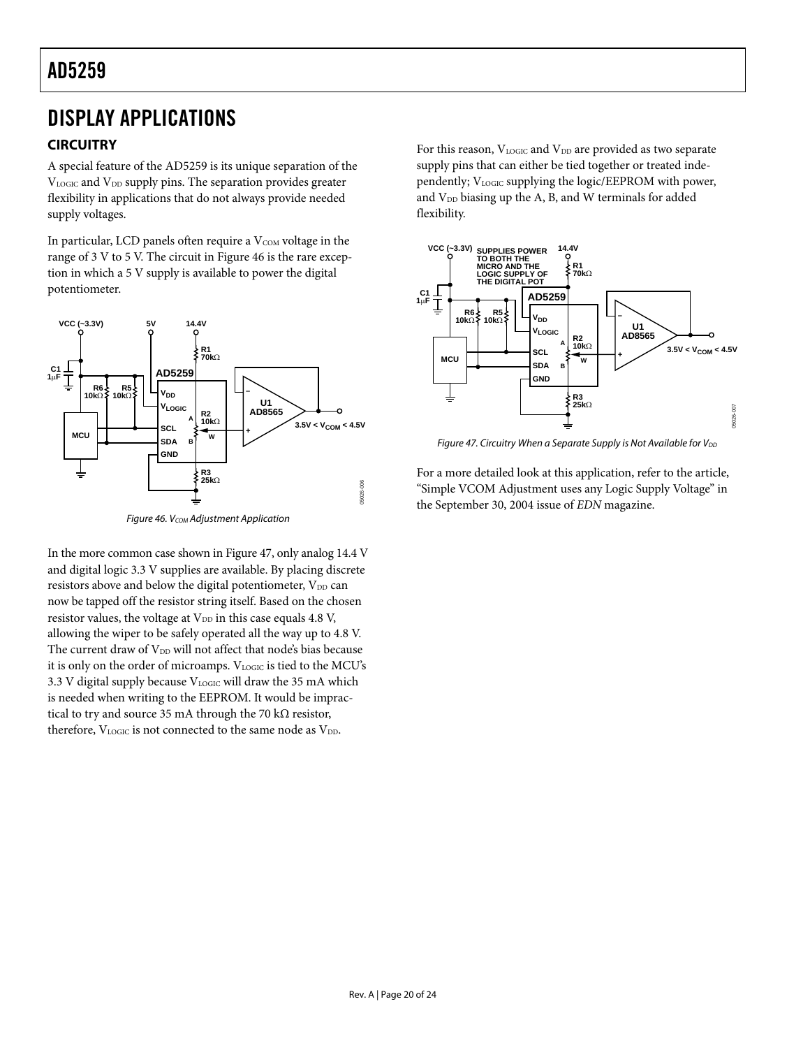# <span id="page-19-1"></span><span id="page-19-0"></span>DISPLAY APPLICATIONS

## **CIRCUITRY**

A special feature of the AD5259 is its unique separation of the VLOGIC and V<sub>DD</sub> supply pins. The separation provides greater flexibility in applications that do not always provide needed supply voltages.

In particular, LCD panels often require a  $V_{COM}$  voltage in the range of 3 V to 5 V. The circuit in Figure 46 is the rare exception in which a 5 V supply is available to power the digital potentiometer.



Figure 46. V<sub>COM</sub> Adjustment Application

In the more common case shown in Figure 47, only analog 14.4 V and digital logic 3.3 V supplies are available. By placing discrete resistors above and below the digital potentiometer,  $V_{DD}$  can now be tapped off the resistor string itself. Based on the chosen resistor values, the voltage at  $V_{DD}$  in this case equals 4.8 V, allowing the wiper to be safely operated all the way up to 4.8 V. The current draw of V<sub>DD</sub> will not affect that node's bias because it is only on the order of microamps. VLOGIC is tied to the MCU's 3.3 V digital supply because  $V_{LOGIC}$  will draw the 35 mA which is needed when writing to the EEPROM. It would be impractical to try and source 35 mA through the 70 k $\Omega$  resistor, therefore,  $V_{\text{LOGIC}}$  is not connected to the same node as  $V_{\text{DD}}$ .

For this reason,  $V_{\text{LOGIC}}$  and  $V_{\text{DD}}$  are provided as two separate supply pins that can either be tied together or treated independently; VLOGIC supplying the logic/EEPROM with power, and  $V_{DD}$  biasing up the A, B, and W terminals for added flexibility.



Figure 47. Circuitry When a Separate Supply is Not Available for  $V_{DD}$ 

For a more detailed look at this application, refer to the article, "Simple VCOM Adjustment uses any Logic Supply Voltage" in the September 30, 2004 issue of *EDN* magazine.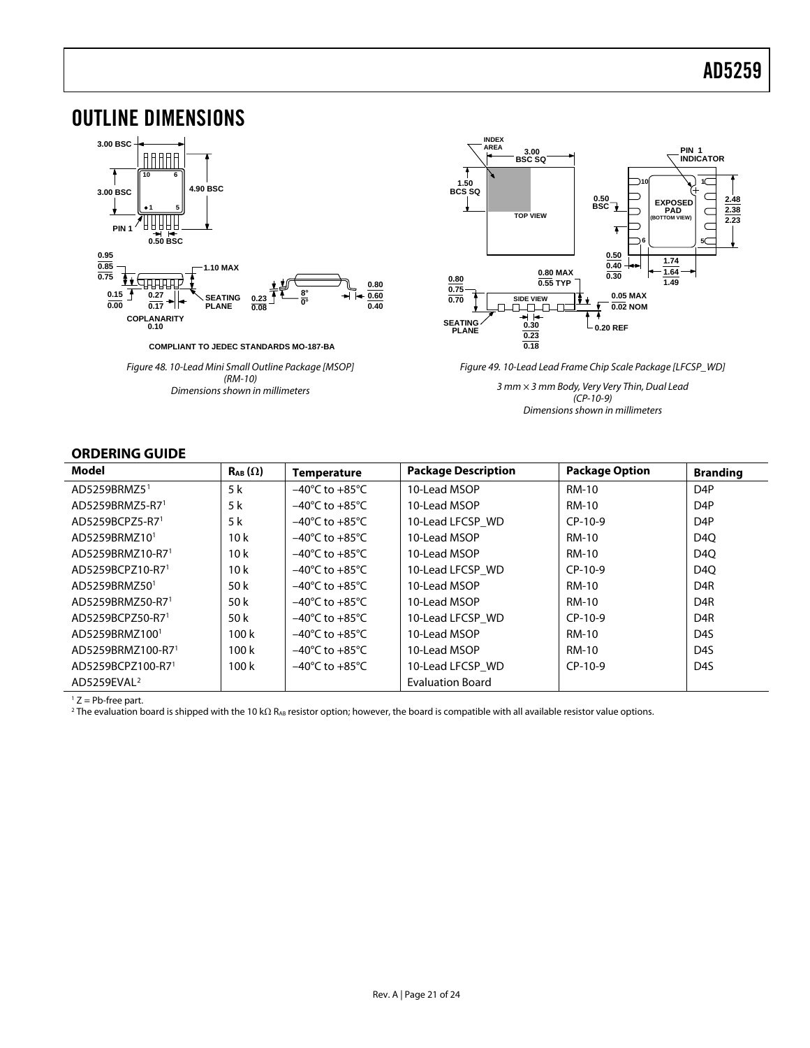## <span id="page-20-0"></span>OUTLINE DIMENSIONS



Figure 48. 10-Lead Mini Small Outline Package [MSOP] (RM-10) Dimensions shown in millimeters



Figure 49. 10-Lead Lead Frame Chip Scale Package [LFCSP\_WD]

3 mm × 3 mm Body, Very Very Thin, Dual Lead  $(CP-10-9)$ Dimensions shown in millimeters

### **ORDERING GUIDE**

| Model                     | $\mathsf{R}_{AB}(\Omega)$ | <b>Temperature</b>                   | <b>Package Description</b> | <b>Package Option</b> | <b>Branding</b>  |
|---------------------------|---------------------------|--------------------------------------|----------------------------|-----------------------|------------------|
| AD5259BRMZ5 <sup>1</sup>  | 5 k                       | $-40^{\circ}$ C to $+85^{\circ}$ C   | 10-Lead MSOP               | <b>RM-10</b>          | D <sub>4</sub> P |
| AD5259BRMZ5-R71           | 5 k                       | $-40^{\circ}$ C to $+85^{\circ}$ C   | 10-Lead MSOP               | RM-10                 | D <sub>4</sub> P |
| AD5259BCPZ5-R71           | 5 k                       | $-40^{\circ}$ C to $+85^{\circ}$ C   | 10-Lead LFCSP WD           | $CP-10-9$             | D <sub>4</sub> P |
| AD5259BRMZ10 <sup>1</sup> | 10k                       | $-40^{\circ}$ C to $+85^{\circ}$ C   | 10-Lead MSOP               | RM-10                 | D40              |
| AD5259BRMZ10-R71          | 10k                       | $-40^{\circ}$ C to $+85^{\circ}$ C   | 10-Lead MSOP               | RM-10                 | D <sub>4</sub> O |
| AD5259BCPZ10-R71          | 10k                       | $-40^{\circ}$ C to $+85^{\circ}$ C   | 10-Lead LFCSP WD           | $CP-10-9$             | D <sub>4</sub> O |
| AD5259BRMZ50 <sup>1</sup> | 50 k                      | $-40^{\circ}$ C to $+85^{\circ}$ C . | 10-Lead MSOP               | RM-10                 | D <sub>4</sub> R |
| AD5259BRMZ50-R71          | 50 k                      | $-40^{\circ}$ C to $+85^{\circ}$ C   | 10-Lead MSOP               | RM-10                 | D <sub>4</sub> R |
| AD5259BCPZ50-R71          | 50 k                      | $-40^{\circ}$ C to $+85^{\circ}$ C   | 10-Lead LFCSP WD           | $CP-10-9$             | D <sub>4</sub> R |
| AD5259BRMZ1001            | 100k                      | $-40^{\circ}$ C to $+85^{\circ}$ C   | 10-Lead MSOP               | RM-10                 | D <sub>4</sub> S |
| AD5259BRMZ100-R71         | 100k                      | $-40^{\circ}$ C to $+85^{\circ}$ C   | 10-Lead MSOP               | RM-10                 | D <sub>4</sub> S |
| AD5259BCPZ100-R71         | 100k                      | $-40^{\circ}$ C to $+85^{\circ}$ C   | 10-Lead LFCSP WD           | $CP-10-9$             | D <sub>4</sub> S |
| AD5259EVAL <sup>2</sup>   |                           |                                      | <b>Evaluation Board</b>    |                       |                  |

 $1 Z = Pb$ -free part.

<sup>2</sup> The evaluation board is shipped with the 10 kΩ R<sub>AB</sub> resistor option; however, the board is compatible with all available resistor value options.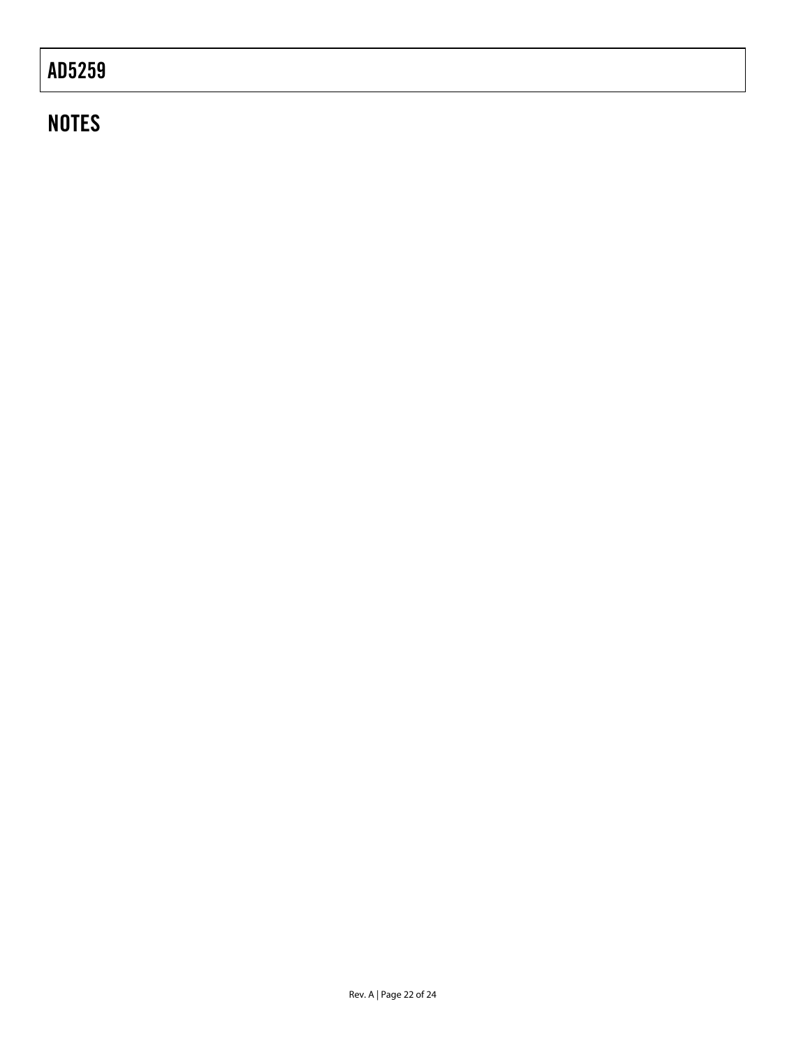# **NOTES**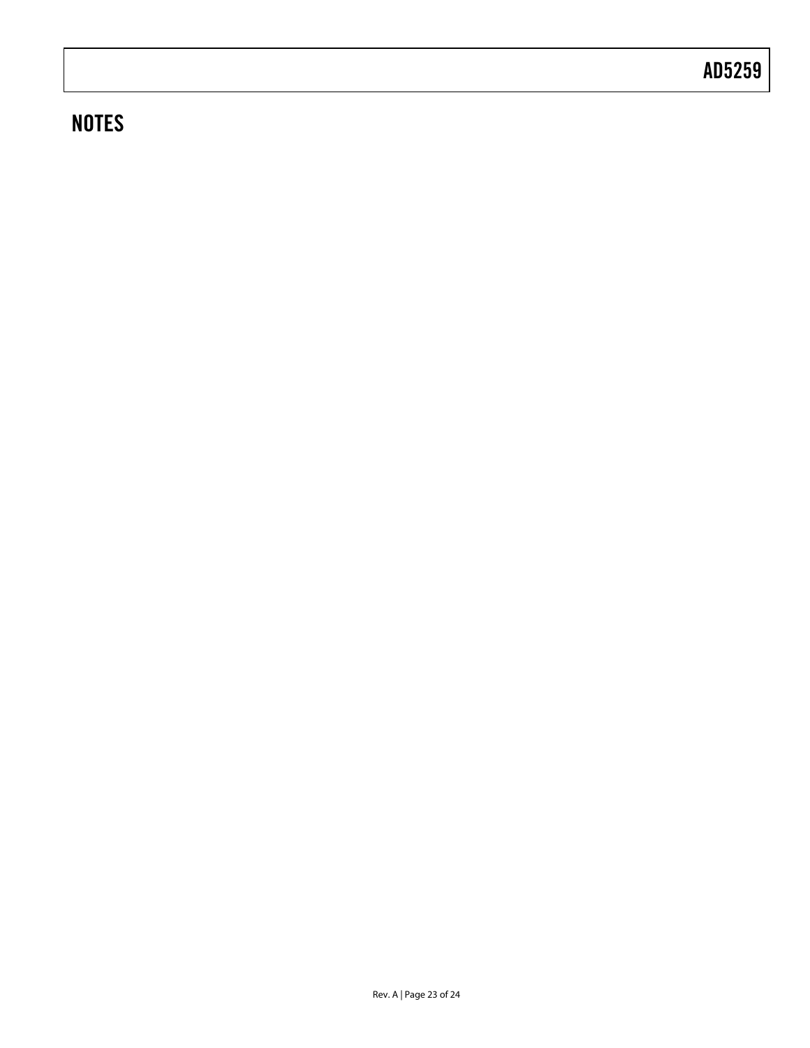# **NOTES**